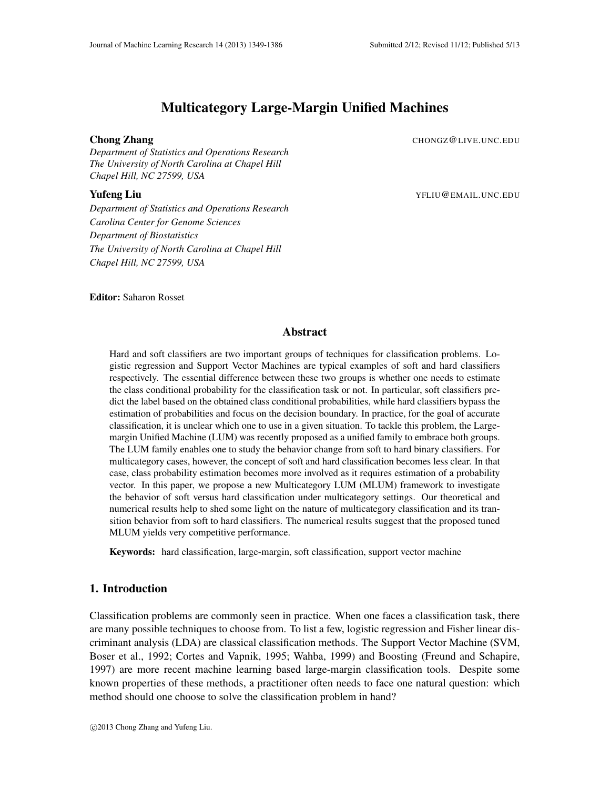# Multicategory Large-Margin Unified Machines

**Chong Zhang** CHONGZ@LIVE.UNC.EDU

*Department of Statistics and Operations Research The University of North Carolina at Chapel Hill Chapel Hill, NC 27599, USA*

**Yufeng Liu** Yellu @EMAIL.UNC.EDU

*Department of Statistics and Operations Research Carolina Center for Genome Sciences Department of Biostatistics The University of North Carolina at Chapel Hill Chapel Hill, NC 27599, USA*

Editor: Saharon Rosset

# Abstract

Hard and soft classifiers are two important groups of techniques for classification problems. Logistic regression and Support Vector Machines are typical examples of soft and hard classifiers respectively. The essential difference between these two groups is whether one needs to estimate the class conditional probability for the classification task or not. In particular, soft classifiers predict the label based on the obtained class conditional probabilities, while hard classifiers bypass the estimation of probabilities and focus on the decision boundary. In practice, for the goal of accurate classification, it is unclear which one to use in a given situation. To tackle this problem, the Largemargin Unified Machine (LUM) was recently proposed as a unified family to embrace both groups. The LUM family enables one to study the behavior change from soft to hard binary classifiers. For multicategory cases, however, the concept of soft and hard classification becomes less clear. In that case, class probability estimation becomes more involved as it requires estimation of a probability vector. In this paper, we propose a new Multicategory LUM (MLUM) framework to investigate the behavior of soft versus hard classification under multicategory settings. Our theoretical and numerical results help to shed some light on the nature of multicategory classification and its transition behavior from soft to hard classifiers. The numerical results suggest that the proposed tuned MLUM yields very competitive performance.

Keywords: hard classification, large-margin, soft classification, support vector machine

# 1. Introduction

Classification problems are commonly seen in practice. When one faces a classification task, there are many possible techniques to choose from. To list a few, logistic regression and Fisher linear discriminant analysis (LDA) are classical classification methods. The Support Vector Machine (SVM, Boser et al., 1992; Cortes and Vapnik, 1995; Wahba, 1999) and Boosting (Freund and Schapire, 1997) are more recent machine learning based large-margin classification tools. Despite some known properties of these methods, a practitioner often needs to face one natural question: which method should one choose to solve the classification problem in hand?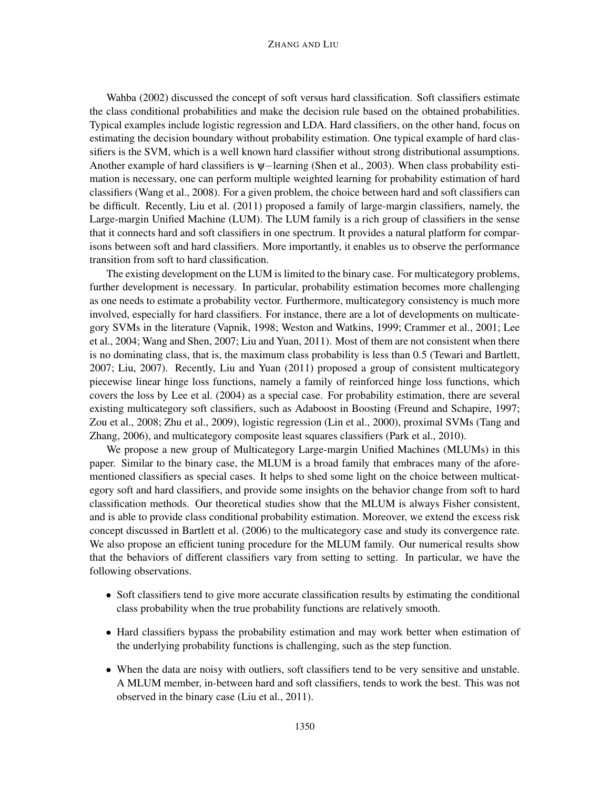#### ZHANG AND LIU

Wahba (2002) discussed the concept of soft versus hard classification. Soft classifiers estimate the class conditional probabilities and make the decision rule based on the obtained probabilities. Typical examples include logistic regression and LDA. Hard classifiers, on the other hand, focus on estimating the decision boundary without probability estimation. One typical example of hard classifiers is the SVM, which is a well known hard classifier without strong distributional assumptions. Another example of hard classifiers is ψ−learning (Shen et al., 2003). When class probability estimation is necessary, one can perform multiple weighted learning for probability estimation of hard classifiers (Wang et al., 2008). For a given problem, the choice between hard and soft classifiers can be difficult. Recently, Liu et al. (2011) proposed a family of large-margin classifiers, namely, the Large-margin Unified Machine (LUM). The LUM family is a rich group of classifiers in the sense that it connects hard and soft classifiers in one spectrum. It provides a natural platform for comparisons between soft and hard classifiers. More importantly, it enables us to observe the performance transition from soft to hard classification.

The existing development on the LUM is limited to the binary case. For multicategory problems, further development is necessary. In particular, probability estimation becomes more challenging as one needs to estimate a probability vector. Furthermore, multicategory consistency is much more involved, especially for hard classifiers. For instance, there are a lot of developments on multicategory SVMs in the literature (Vapnik, 1998; Weston and Watkins, 1999; Crammer et al., 2001; Lee et al., 2004; Wang and Shen, 2007; Liu and Yuan, 2011). Most of them are not consistent when there is no dominating class, that is, the maximum class probability is less than 0.5 (Tewari and Bartlett, 2007; Liu, 2007). Recently, Liu and Yuan (2011) proposed a group of consistent multicategory piecewise linear hinge loss functions, namely a family of reinforced hinge loss functions, which covers the loss by Lee et al. (2004) as a special case. For probability estimation, there are several existing multicategory soft classifiers, such as Adaboost in Boosting (Freund and Schapire, 1997; Zou et al., 2008; Zhu et al., 2009), logistic regression (Lin et al., 2000), proximal SVMs (Tang and Zhang, 2006), and multicategory composite least squares classifiers (Park et al., 2010).

We propose a new group of Multicategory Large-margin Unified Machines (MLUMs) in this paper. Similar to the binary case, the MLUM is a broad family that embraces many of the aforementioned classifiers as special cases. It helps to shed some light on the choice between multicategory soft and hard classifiers, and provide some insights on the behavior change from soft to hard classification methods. Our theoretical studies show that the MLUM is always Fisher consistent, and is able to provide class conditional probability estimation. Moreover, we extend the excess risk concept discussed in Bartlett et al. (2006) to the multicategory case and study its convergence rate. We also propose an efficient tuning procedure for the MLUM family. Our numerical results show that the behaviors of different classifiers vary from setting to setting. In particular, we have the following observations.

- Soft classifiers tend to give more accurate classification results by estimating the conditional class probability when the true probability functions are relatively smooth.
- Hard classifiers bypass the probability estimation and may work better when estimation of the underlying probability functions is challenging, such as the step function.
- When the data are noisy with outliers, soft classifiers tend to be very sensitive and unstable. A MLUM member, in-between hard and soft classifiers, tends to work the best. This was not observed in the binary case (Liu et al., 2011).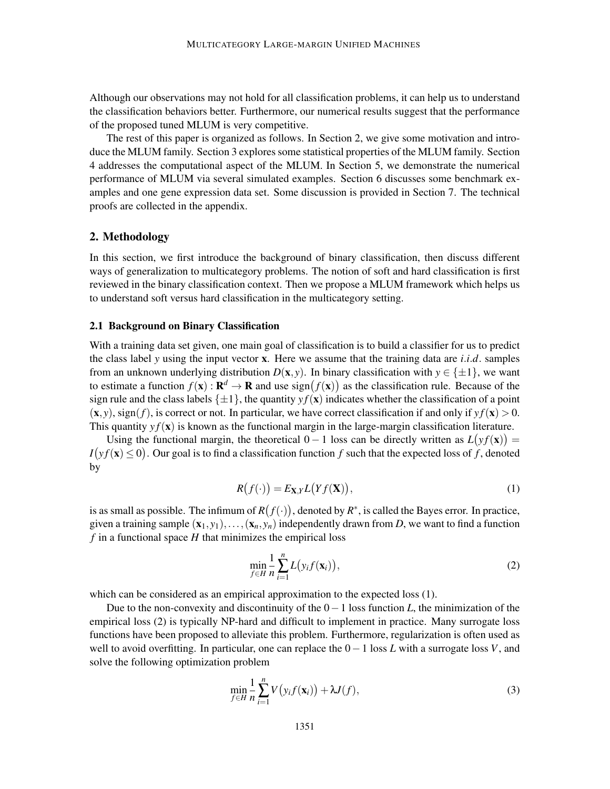Although our observations may not hold for all classification problems, it can help us to understand the classification behaviors better. Furthermore, our numerical results suggest that the performance of the proposed tuned MLUM is very competitive.

The rest of this paper is organized as follows. In Section 2, we give some motivation and introduce the MLUM family. Section 3 explores some statistical properties of the MLUM family. Section 4 addresses the computational aspect of the MLUM. In Section 5, we demonstrate the numerical performance of MLUM via several simulated examples. Section 6 discusses some benchmark examples and one gene expression data set. Some discussion is provided in Section 7. The technical proofs are collected in the appendix.

# 2. Methodology

In this section, we first introduce the background of binary classification, then discuss different ways of generalization to multicategory problems. The notion of soft and hard classification is first reviewed in the binary classification context. Then we propose a MLUM framework which helps us to understand soft versus hard classification in the multicategory setting.

#### 2.1 Background on Binary Classification

With a training data set given, one main goal of classification is to build a classifier for us to predict the class label *y* using the input vector x. Here we assume that the training data are *i*.*i*.*d*. samples from an unknown underlying distribution  $D(x, y)$ . In binary classification with  $y \in \{\pm 1\}$ , we want to estimate a function  $f(\mathbf{x}) : \mathbf{R}^d \to \mathbf{R}$  and use  $sign(f(\mathbf{x}))$  as the classification rule. Because of the sign rule and the class labels  $\{\pm 1\}$ , the quantity  $y f(\mathbf{x})$  indicates whether the classification of a point  $(\mathbf{x}, y)$ , sign(*f*), is correct or not. In particular, we have correct classification if and only if  $y f(\mathbf{x}) > 0$ . This quantity  $y f(\mathbf{x})$  is known as the functional margin in the large-margin classification literature.

Using the functional margin, the theoretical  $0 - 1$  loss can be directly written as  $L(yf(\mathbf{x})) =$  $I(yf(\mathbf{x}) \le 0)$ . Our goal is to find a classification function *f* such that the expected loss of *f*, denoted by

$$
R(f(\cdot)) = E_{\mathbf{X},Y} L(Yf(\mathbf{X})),
$$
\n(1)

is as small as possible. The infimum of  $R(f(\cdot))$ , denoted by  $R^*$ , is called the Bayes error. In practice, given a training sample  $(x_1, y_1), \ldots, (x_n, y_n)$  independently drawn from *D*, we want to find a function  $f$  in a functional space  $H$  that minimizes the empirical loss

$$
\min_{f \in H} \frac{1}{n} \sum_{i=1}^{n} L(y_i f(\mathbf{x}_i)),\tag{2}
$$

which can be considered as an empirical approximation to the expected loss  $(1)$ .

Due to the non-convexity and discontinuity of the 0−1 loss function *L*, the minimization of the empirical loss (2) is typically NP-hard and difficult to implement in practice. Many surrogate loss functions have been proposed to alleviate this problem. Furthermore, regularization is often used as well to avoid overfitting. In particular, one can replace the 0−1 loss *L* with a surrogate loss *V*, and solve the following optimization problem

$$
\min_{f \in H} \frac{1}{n} \sum_{i=1}^{n} V(y_i f(\mathbf{x}_i)) + \lambda J(f),\tag{3}
$$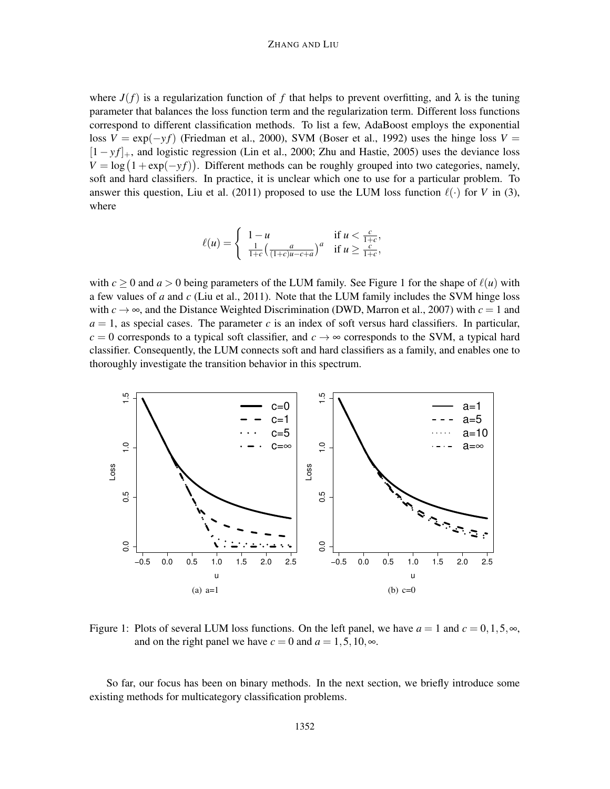#### ZHANG AND LIU

where  $J(f)$  is a regularization function of f that helps to prevent overfitting, and  $\lambda$  is the tuning parameter that balances the loss function term and the regularization term. Different loss functions correspond to different classification methods. To list a few, AdaBoost employs the exponential loss  $V = \exp(-y f)$  (Friedman et al., 2000), SVM (Boser et al., 1992) uses the hinge loss  $V =$ [1 − *yf*]<sub>+</sub>, and logistic regression (Lin et al., 2000; Zhu and Hastie, 2005) uses the deviance loss  $V = \log (1 + \exp(-y f))$ . Different methods can be roughly grouped into two categories, namely, soft and hard classifiers. In practice, it is unclear which one to use for a particular problem. To answer this question, Liu et al. (2011) proposed to use the LUM loss function  $\ell(\cdot)$  for *V* in (3), where

$$
\ell(u) = \begin{cases} 1-u & \text{if } u < \frac{c}{1+c}, \\ \frac{1}{1+c} \left( \frac{a}{(1+c)u-c+a} \right)^a & \text{if } u \ge \frac{c}{1+c}, \end{cases}
$$

with  $c \ge 0$  and  $a > 0$  being parameters of the LUM family. See Figure 1 for the shape of  $\ell(u)$  with a few values of *a* and *c* (Liu et al., 2011). Note that the LUM family includes the SVM hinge loss with  $c \rightarrow \infty$ , and the Distance Weighted Discrimination (DWD, Marron et al., 2007) with  $c = 1$  and  $a = 1$ , as special cases. The parameter *c* is an index of soft versus hard classifiers. In particular,  $c = 0$  corresponds to a typical soft classifier, and  $c \rightarrow \infty$  corresponds to the SVM, a typical hard classifier. Consequently, the LUM connects soft and hard classifiers as a family, and enables one to thoroughly investigate the transition behavior in this spectrum.



Figure 1: Plots of several LUM loss functions. On the left panel, we have  $a = 1$  and  $c = 0, 1, 5, \infty$ , and on the right panel we have  $c = 0$  and  $a = 1, 5, 10, \infty$ .

So far, our focus has been on binary methods. In the next section, we briefly introduce some existing methods for multicategory classification problems.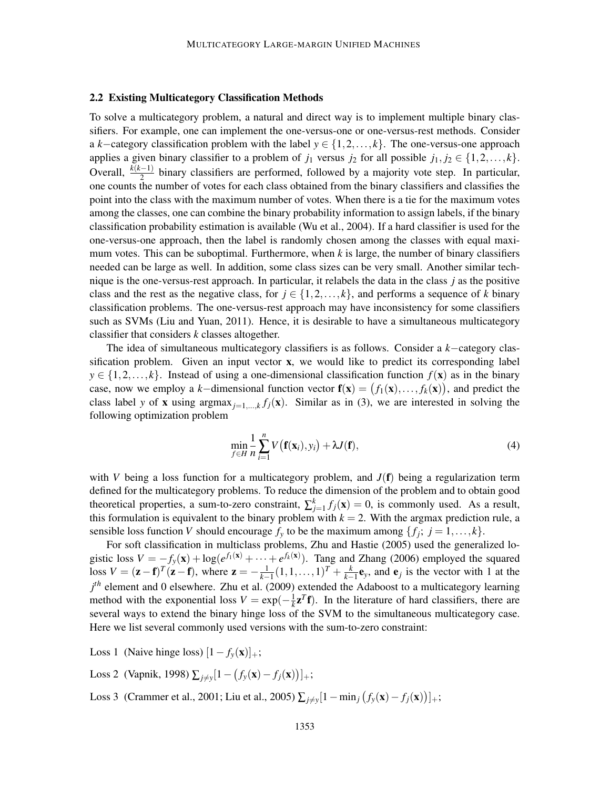### 2.2 Existing Multicategory Classification Methods

To solve a multicategory problem, a natural and direct way is to implement multiple binary classifiers. For example, one can implement the one-versus-one or one-versus-rest methods. Consider a *k*−category classification problem with the label *y* ∈ {1,2,..., *k*}. The one-versus-one approach applies a given binary classifier to a problem of  $j_1$  versus  $j_2$  for all possible  $j_1, j_2 \in \{1, 2, ..., k\}$ . Overall,  $\frac{k(k-1)}{2}$  binary classifiers are performed, followed by a majority vote step. In particular, one counts the number of votes for each class obtained from the binary classifiers and classifies the point into the class with the maximum number of votes. When there is a tie for the maximum votes among the classes, one can combine the binary probability information to assign labels, if the binary classification probability estimation is available (Wu et al., 2004). If a hard classifier is used for the one-versus-one approach, then the label is randomly chosen among the classes with equal maximum votes. This can be suboptimal. Furthermore, when *k* is large, the number of binary classifiers needed can be large as well. In addition, some class sizes can be very small. Another similar technique is the one-versus-rest approach. In particular, it relabels the data in the class *j* as the positive class and the rest as the negative class, for  $j \in \{1, 2, ..., k\}$ , and performs a sequence of *k* binary classification problems. The one-versus-rest approach may have inconsistency for some classifiers such as SVMs (Liu and Yuan, 2011). Hence, it is desirable to have a simultaneous multicategory classifier that considers *k* classes altogether.

The idea of simultaneous multicategory classifiers is as follows. Consider a *k*−category classification problem. Given an input vector x, we would like to predict its corresponding label  $y \in \{1, 2, \ldots, k\}$ . Instead of using a one-dimensional classification function  $f(\mathbf{x})$  as in the binary case, now we employ a *k*−dimensional function vector  $f(x) = (f_1(x),...,f_k(x))$ , and predict the class label *y* of **x** using argmax<sub>*j*=1,...,*k*</sub> *f*<sub>*j*</sub>(**x**). Similar as in (3), we are interested in solving the following optimization problem

$$
\min_{f \in H} \frac{1}{n} \sum_{i=1}^{n} V\left(\mathbf{f}(\mathbf{x}_i), y_i\right) + \lambda J(\mathbf{f}),\tag{4}
$$

with *V* being a loss function for a multicategory problem, and  $J(f)$  being a regularization term defined for the multicategory problems. To reduce the dimension of the problem and to obtain good theoretical properties, a sum-to-zero constraint,  $\sum_{j=1}^{k} f_j(\mathbf{x}) = 0$ , is commonly used. As a result, this formulation is equivalent to the binary problem with  $k = 2$ . With the argmax prediction rule, a sensible loss function *V* should encourage  $f_y$  to be the maximum among  $\{f_j; j = 1, ..., k\}$ .

For soft classification in multiclass problems, Zhu and Hastie (2005) used the generalized logistic loss  $V = -f_y(\mathbf{x}) + \log(e^{f_1(\mathbf{x})} + \cdots + e^{f_k(\mathbf{x})})$ . Tang and Zhang (2006) employed the squared loss  $V = (\mathbf{z} - \mathbf{f})^T (\mathbf{z} - \mathbf{f})$ , where  $\mathbf{z} = -\frac{1}{k-1}$  $\frac{1}{k-1}(1,1,\ldots,1)^{T}+\frac{k}{k-1}$  $\frac{k}{k-1}$ **e**<sub>y</sub>, and **e**<sub>j</sub> is the vector with 1 at the *j th* element and 0 elsewhere. Zhu et al. (2009) extended the Adaboost to a multicategory learning method with the exponential loss  $V = \exp(-\frac{1}{k})$  $\frac{1}{k}z^{T}f$ ). In the literature of hard classifiers, there are several ways to extend the binary hinge loss of the SVM to the simultaneous multicategory case. Here we list several commonly used versions with the sum-to-zero constraint:

Loss 1 (Naive hinge loss)  $[1 - f_y(\mathbf{x})]_+$ ;

Loss 2 (Vapnik, 1998)  $\sum_{j \neq y} [1 - (f_y(\mathbf{x}) - f_j(\mathbf{x}))]_+;$ 

Loss 3 (Crammer et al., 2001; Liu et al., 2005)  $\sum_{j \neq y} [1 - \min_j (f_y(\mathbf{x}) - f_j(\mathbf{x}))]_+$ ;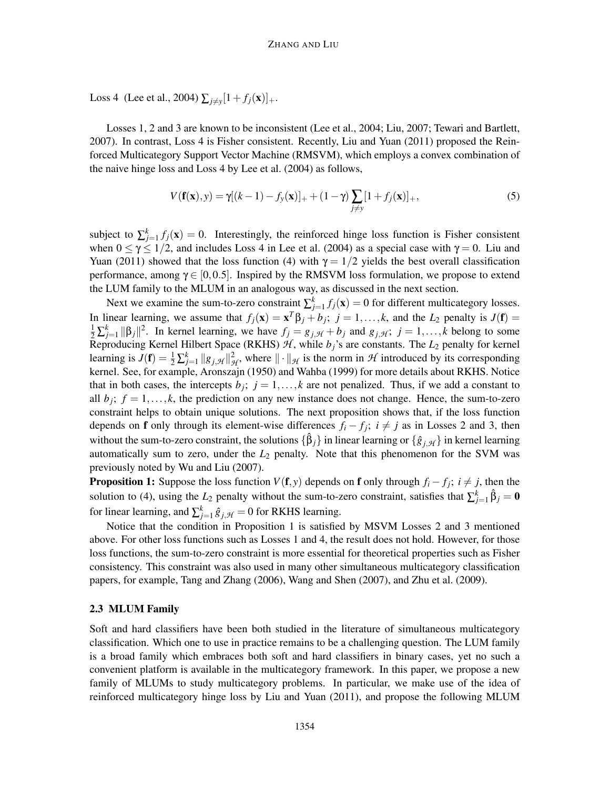Loss 4 (Lee et al., 2004)  $\sum_{j \neq y} [1 + f_j(\mathbf{x})]_+$ .

Losses 1, 2 and 3 are known to be inconsistent (Lee et al., 2004; Liu, 2007; Tewari and Bartlett, 2007). In contrast, Loss 4 is Fisher consistent. Recently, Liu and Yuan (2011) proposed the Reinforced Multicategory Support Vector Machine (RMSVM), which employs a convex combination of the naive hinge loss and Loss 4 by Lee et al. (2004) as follows,

$$
V(\mathbf{f}(\mathbf{x}), y) = \gamma[(k-1) - f_y(\mathbf{x})]_+ + (1-\gamma) \sum_{j \neq y} [1 + f_j(\mathbf{x})]_+, \tag{5}
$$

subject to  $\sum_{j=1}^{k} f_j(\mathbf{x}) = 0$ . Interestingly, the reinforced hinge loss function is Fisher consistent when  $0 \le \gamma \le 1/2$ , and includes Loss 4 in Lee et al. (2004) as a special case with  $\gamma = 0$ . Liu and Yuan (2011) showed that the loss function (4) with  $\gamma = 1/2$  yields the best overall classification performance, among  $\gamma \in [0, 0.5]$ . Inspired by the RMSVM loss formulation, we propose to extend the LUM family to the MLUM in an analogous way, as discussed in the next section.

Next we examine the sum-to-zero constraint  $\sum_{j=1}^{k} f_j(\mathbf{x}) = 0$  for different multicategory losses. In linear learning, we assume that  $f_j(\mathbf{x}) = \mathbf{x}^T \beta_j + b_j$ ;  $j = 1, ..., k$ , and the  $L_2$  penalty is  $J(\mathbf{f}) =$  $\frac{1}{2}\sum_{j=1}^{k}||\beta_j||^2$ . In kernel learning, we have  $f_j = g_{j,\mathcal{H}} + b_j$  and  $g_{j,\mathcal{H}}$ ;  $j = 1,...,k$  belong to some Reproducing Kernel Hilbert Space (RKHS)  $\mathcal{H}$ , while  $b_j$ 's are constants. The  $L_2$  penalty for kernel learning is  $J(\mathbf{f}) = \frac{1}{2} \sum_{j=1}^{k} ||g_{j,\mathcal{H}}||_{\mathcal{H}}^2$ , where  $|| \cdot ||_{\mathcal{H}}$  is the norm in  $\mathcal{H}$  introduced by its corresponding kernel. See, for example, Aronszajn (1950) and Wahba (1999) for more details about RKHS. Notice that in both cases, the intercepts  $b_j$ ;  $j = 1, ..., k$  are not penalized. Thus, if we add a constant to all  $b_j$ ;  $f = 1, \ldots, k$ , the prediction on any new instance does not change. Hence, the sum-to-zero constraint helps to obtain unique solutions. The next proposition shows that, if the loss function depends on **f** only through its element-wise differences  $f_i - f_j$ ;  $i \neq j$  as in Losses 2 and 3, then without the sum-to-zero constraint, the solutions  $\{\hat{\beta}_j\}$  in linear learning or  $\{\hat{g}_{j,\mathcal{H}}\}$  in kernel learning automatically sum to zero, under the *L*<sup>2</sup> penalty. Note that this phenomenon for the SVM was previously noted by Wu and Liu (2007).

**Proposition 1:** Suppose the loss function  $V(f, y)$  depends on **f** only through  $f_i - f_j$ ;  $i \neq j$ , then the solution to (4), using the  $L_2$  penalty without the sum-to-zero constraint, satisfies that  $\sum_{j=1}^{k} \hat{\beta}_j = 0$ for linear learning, and  $\sum_{j=1}^{k} \hat{g}_{j,\mathcal{H}} = 0$  for RKHS learning.

Notice that the condition in Proposition 1 is satisfied by MSVM Losses 2 and 3 mentioned above. For other loss functions such as Losses 1 and 4, the result does not hold. However, for those loss functions, the sum-to-zero constraint is more essential for theoretical properties such as Fisher consistency. This constraint was also used in many other simultaneous multicategory classification papers, for example, Tang and Zhang (2006), Wang and Shen (2007), and Zhu et al. (2009).

#### 2.3 MLUM Family

Soft and hard classifiers have been both studied in the literature of simultaneous multicategory classification. Which one to use in practice remains to be a challenging question. The LUM family is a broad family which embraces both soft and hard classifiers in binary cases, yet no such a convenient platform is available in the multicategory framework. In this paper, we propose a new family of MLUMs to study multicategory problems. In particular, we make use of the idea of reinforced multicategory hinge loss by Liu and Yuan (2011), and propose the following MLUM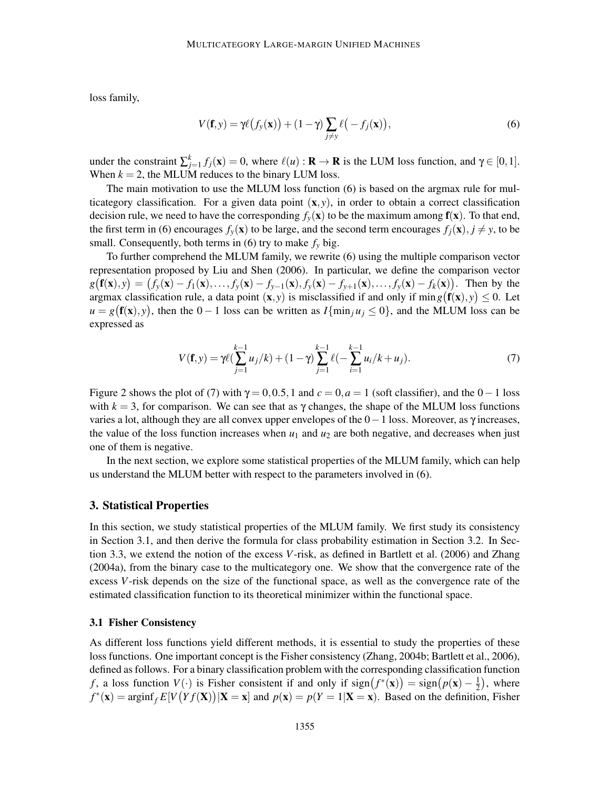loss family,

$$
V(\mathbf{f}, \mathbf{y}) = \gamma \ell \big( f_{\mathbf{y}}(\mathbf{x}) \big) + (1 - \gamma) \sum_{j \neq \mathbf{y}} \ell \big( -f_j(\mathbf{x}) \big),\tag{6}
$$

under the constraint  $\sum_{j=1}^{k} f_j(\mathbf{x}) = 0$ , where  $\ell(u) : \mathbf{R} \to \mathbf{R}$  is the LUM loss function, and  $\gamma \in [0,1]$ . When  $k = 2$ , the MLUM reduces to the binary LUM loss.

The main motivation to use the MLUM loss function (6) is based on the argmax rule for multicategory classification. For a given data point  $(x, y)$ , in order to obtain a correct classification decision rule, we need to have the corresponding  $f_y(\mathbf{x})$  to be the maximum among  $\mathbf{f}(\mathbf{x})$ . To that end, the first term in (6) encourages  $f_y(\mathbf{x})$  to be large, and the second term encourages  $f_j(\mathbf{x}), j \neq y$ , to be small. Consequently, both terms in  $(6)$  try to make  $f<sub>y</sub>$  big.

To further comprehend the MLUM family, we rewrite (6) using the multiple comparison vector representation proposed by Liu and Shen (2006). In particular, we define the comparison vector  $g(f(x), y) = (f_y(x) - f_1(x), \ldots, f_y(x) - f_{y-1}(x), f_y(x) - f_{y+1}(x), \ldots, f_y(x) - f_k(x)).$  Then by the argmax classification rule, a data point  $(x, y)$  is misclassified if and only if  $\min g(f(x), y) \le 0$ . Let  $u = g(\mathbf{f}(\mathbf{x}), y)$ , then the 0 − 1 loss can be written as  $I{\{\min_j u_j \le 0\}}$ , and the MLUM loss can be expressed as

$$
V(\mathbf{f}, y) = \gamma \ell (\sum_{j=1}^{k-1} u_j / k) + (1 - \gamma) \sum_{j=1}^{k-1} \ell (- \sum_{i=1}^{k-1} u_i / k + u_j).
$$
 (7)

Figure 2 shows the plot of (7) with  $\gamma = 0, 0.5, 1$  and  $c = 0, a = 1$  (soft classifier), and the  $0 - 1$  loss with  $k = 3$ , for comparison. We can see that as  $\gamma$  changes, the shape of the MLUM loss functions varies a lot, although they are all convex upper envelopes of the  $0-1$  loss. Moreover, as  $\gamma$  increases, the value of the loss function increases when  $u_1$  and  $u_2$  are both negative, and decreases when just one of them is negative.

In the next section, we explore some statistical properties of the MLUM family, which can help us understand the MLUM better with respect to the parameters involved in (6).

## 3. Statistical Properties

In this section, we study statistical properties of the MLUM family. We first study its consistency in Section 3.1, and then derive the formula for class probability estimation in Section 3.2. In Section 3.3, we extend the notion of the excess *V*-risk, as defined in Bartlett et al. (2006) and Zhang (2004a), from the binary case to the multicategory one. We show that the convergence rate of the excess *V*-risk depends on the size of the functional space, as well as the convergence rate of the estimated classification function to its theoretical minimizer within the functional space.

#### 3.1 Fisher Consistency

As different loss functions yield different methods, it is essential to study the properties of these loss functions. One important concept is the Fisher consistency (Zhang, 2004b; Bartlett et al., 2006), defined as follows. For a binary classification problem with the corresponding classification function *f*, a loss function  $V(\cdot)$  is Fisher consistent if and only if  $sign(f^*(\mathbf{x})) = sign(p(\mathbf{x}) - \frac{1}{2})$  $(\frac{1}{2})$ , where  $f^*(\mathbf{x}) = \text{arginf}_f E[V(Yf(\mathbf{X})) | \mathbf{X} = \mathbf{x}]$  and  $p(\mathbf{x}) = p(Y = 1 | \mathbf{X} = \mathbf{x})$ . Based on the definition, Fisher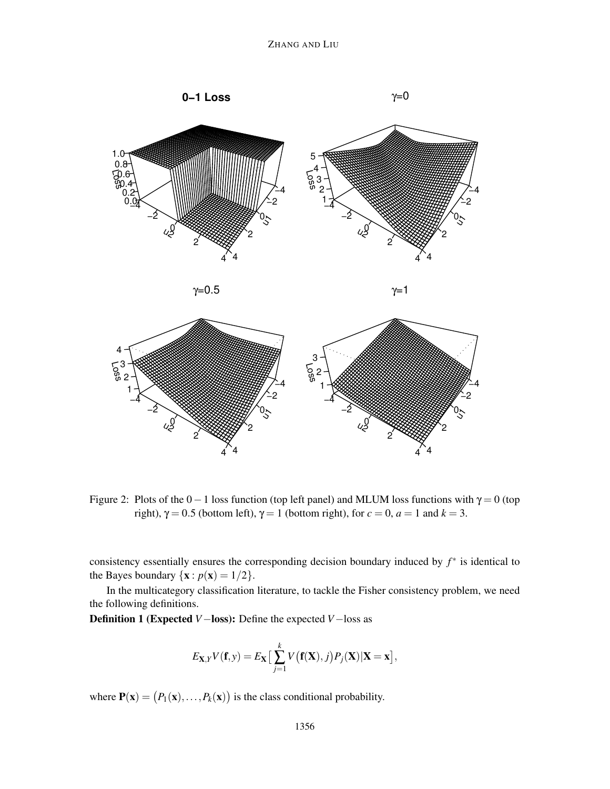

$$
\gamma\!\!=\!\!0.5
$$

 $γ=1$ 



Figure 2: Plots of the  $0-1$  loss function (top left panel) and MLUM loss functions with  $\gamma = 0$  (top right),  $\gamma = 0.5$  (bottom left),  $\gamma = 1$  (bottom right), for  $c = 0$ ,  $a = 1$  and  $k = 3$ .

consistency essentially ensures the corresponding decision boundary induced by *f* ∗ is identical to the Bayes boundary  $\{x : p(x) = 1/2\}$ .

In the multicategory classification literature, to tackle the Fisher consistency problem, we need the following definitions.

Definition 1 (Expected *V*−loss): Define the expected *V*−loss as

$$
E_{\mathbf{X},Y}V(\mathbf{f},y) = E_{\mathbf{X}}\left[\sum_{j=1}^k V(\mathbf{f}(\mathbf{X}),j)P_j(\mathbf{X})|\mathbf{X}=\mathbf{x}\right],
$$

where  $P(x) = (P_1(x), \ldots, P_k(x))$  is the class conditional probability.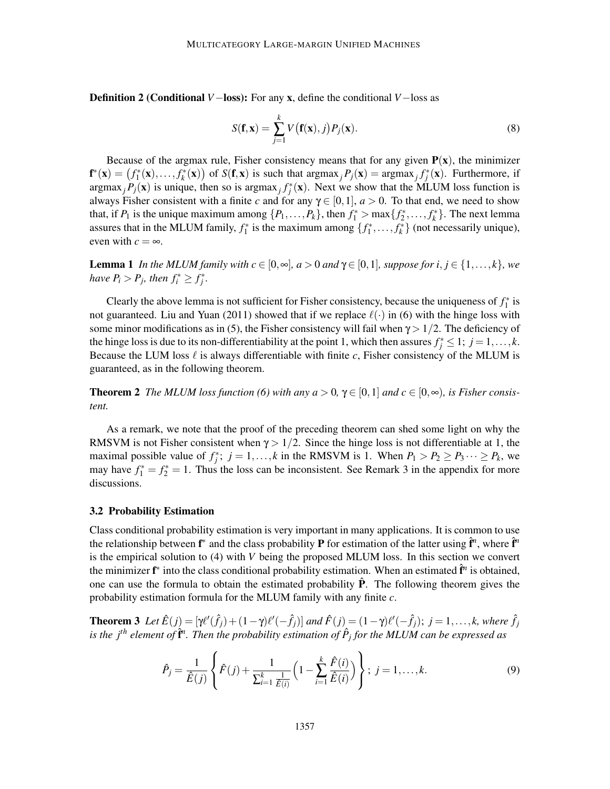Definition 2 (Conditional *V*−loss): For any x, define the conditional *V*−loss as

$$
S(\mathbf{f}, \mathbf{x}) = \sum_{j=1}^{k} V(\mathbf{f}(\mathbf{x}), j) P_j(\mathbf{x}).
$$
\n(8)

Because of the argmax rule, Fisher consistency means that for any given  $P(x)$ , the minimizer  $f^*(\mathbf{x}) = (f_1^*(\mathbf{x}), \dots, f_k^*(\mathbf{x}))$  of  $S(f, \mathbf{x})$  is such that  $\argmax_j P_j(\mathbf{x}) = \argmax_j f_j^*(\mathbf{x})$ . Furthermore, if argmax<sub>*j*</sub> $P_j(x)$  is unique, then so is argmax<sub>*j*</sub> $f_j^*(x)$ . Next we show that the MLUM loss function is always Fisher consistent with a finite *c* and for any  $\gamma \in [0,1]$ ,  $a > 0$ . To that end, we need to show that, if  $P_1$  is the unique maximum among  $\{P_1, \ldots, P_k\}$ , then  $f_1^* > \max\{f_2^*, \ldots, f_k^*\}$ . The next lemma assures that in the MLUM family,  $f_1^*$  is the maximum among  $\{f_1^*, \ldots, f_k^*\}$  (not necessarily unique), even with  $c = \infty$ .

**Lemma 1** *In the MLUM family with*  $c \in [0, \infty]$ *, a* > 0 *and*  $\gamma \in [0, 1]$ *, suppose for i*, *j*  $\in \{1, ..., k\}$ *, we have*  $P_i > P_j$ *, then*  $f_i^* \geq f_j^*$ *.* 

Clearly the above lemma is not sufficient for Fisher consistency, because the uniqueness of  $f_1^*$  is not guaranteed. Liu and Yuan (2011) showed that if we replace  $\ell(\cdot)$  in (6) with the hinge loss with some minor modifications as in (5), the Fisher consistency will fail when  $\gamma > 1/2$ . The deficiency of the hinge loss is due to its non-differentiability at the point 1, which then assures  $f_j^* \leq 1$ ;  $j = 1, ..., k$ . Because the LUM loss  $\ell$  is always differentiable with finite c, Fisher consistency of the MLUM is guaranteed, as in the following theorem.

**Theorem 2** *The MLUM loss function* (6) with any  $a > 0$ ,  $\gamma \in [0,1]$  and  $c \in [0,\infty)$ , is Fisher consis*tent.*

As a remark, we note that the proof of the preceding theorem can shed some light on why the RMSVM is not Fisher consistent when  $\gamma > 1/2$ . Since the hinge loss is not differentiable at 1, the maximal possible value of  $f_j^*$ ;  $j = 1, ..., k$  in the RMSVM is 1. When  $P_1 > P_2 \ge P_3 \cdots \ge P_k$ , we may have  $f_1^* = f_2^* = 1$ . Thus the loss can be inconsistent. See Remark 3 in the appendix for more discussions.

# 3.2 Probability Estimation

Class conditional probability estimation is very important in many applications. It is common to use the relationship between  $f^*$  and the class probability **P** for estimation of the latter using  $\hat{f}^n$ , where  $\hat{f}^n$ is the empirical solution to (4) with *V* being the proposed MLUM loss. In this section we convert the minimizer  $f^*$  into the class conditional probability estimation. When an estimated  $\hat{f}^n$  is obtained, one can use the formula to obtain the estimated probability  $\hat{P}$ . The following theorem gives the probability estimation formula for the MLUM family with any finite *c*.

**Theorem 3** Let  $\hat{E}(j) = [\gamma \ell'(\hat{f}_j) + (1 - \gamma)\ell'(-\hat{f}_j)]$  and  $\hat{F}(j) = (1 - \gamma)\ell'(-\hat{f}_j); j = 1, \ldots, k$ , where  $\hat{f}_j$ is the j<sup>th</sup> element of  $\hat{\mathbf{f}}^n$ . Then the probability estimation of  $\hat{P}_j$  for the MLUM can be expressed as

$$
\hat{P}_j = \frac{1}{\hat{E}(j)} \left\{ \hat{F}(j) + \frac{1}{\sum_{i=1}^k \frac{1}{\hat{E}(i)}} \left( 1 - \sum_{i=1}^k \frac{\hat{F}(i)}{\hat{E}(i)} \right) \right\}; \ j = 1, \dots, k. \tag{9}
$$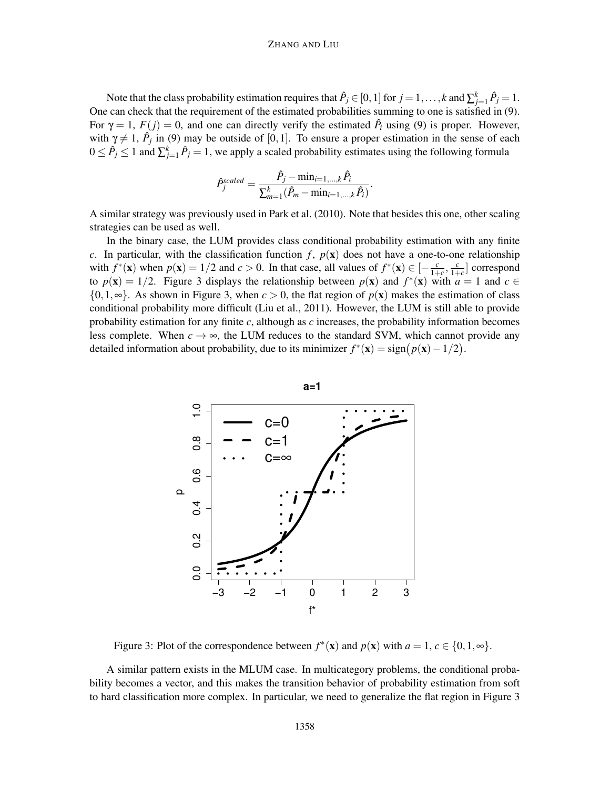#### ZHANG AND LIU

Note that the class probability estimation requires that  $\hat{P}_j \in [0,1]$  for  $j = 1,\ldots,k$  and  $\sum_{j=1}^k \hat{P}_j = 1$ . One can check that the requirement of the estimated probabilities summing to one is satisfied in (9). For  $\gamma = 1$ ,  $F(j) = 0$ , and one can directly verify the estimated  $\hat{P}_i$  using (9) is proper. However, with  $\gamma \neq 1$ ,  $\hat{P}_j$  in (9) may be outside of [0,1]. To ensure a proper estimation in the sense of each  $0 \leq \hat{P}_j \leq 1$  and  $\sum_{j=1}^k \hat{P}_j = 1$ , we apply a scaled probability estimates using the following formula

$$
\hat{P}_{j}^{scaled} = \frac{\hat{P}_{j} - \min_{i=1,...,k} \hat{P}_{i}}{\sum_{m=1}^{k} (\hat{P}_{m} - \min_{i=1,...,k} \hat{P}_{i})}.
$$

A similar strategy was previously used in Park et al. (2010). Note that besides this one, other scaling strategies can be used as well.

In the binary case, the LUM provides class conditional probability estimation with any finite *c*. In particular, with the classification function  $f$ ,  $p(x)$  does not have a one-to-one relationship with  $f^*(\mathbf{x})$  when  $p(\mathbf{x}) = 1/2$  and  $c > 0$ . In that case, all values of  $f^*(\mathbf{x}) \in \left[-\frac{c}{1+\epsilon}\right]$  $\frac{c}{1+c}$ ,  $\frac{c}{1+c}$  $\frac{c}{1+c}$  correspond to  $p(\mathbf{x}) = 1/2$ . Figure 3 displays the relationship between  $p(\mathbf{x})$  and  $f^*(\mathbf{x})$  with  $a = 1$  and  $c \in$ {0,1,∞}. As shown in Figure 3, when *c* > 0, the flat region of *p*(x) makes the estimation of class conditional probability more difficult (Liu et al., 2011). However, the LUM is still able to provide probability estimation for any finite *c*, although as *c* increases, the probability information becomes less complete. When  $c \to \infty$ , the LUM reduces to the standard SVM, which cannot provide any detailed information about probability, due to its minimizer  $f^*(\mathbf{x}) = \text{sign}(p(\mathbf{x}) - 1/2)$ .



Figure 3: Plot of the correspondence between  $f^*(\mathbf{x})$  and  $p(\mathbf{x})$  with  $a = 1, c \in \{0, 1, \infty\}$ .

A similar pattern exists in the MLUM case. In multicategory problems, the conditional probability becomes a vector, and this makes the transition behavior of probability estimation from soft to hard classification more complex. In particular, we need to generalize the flat region in Figure 3

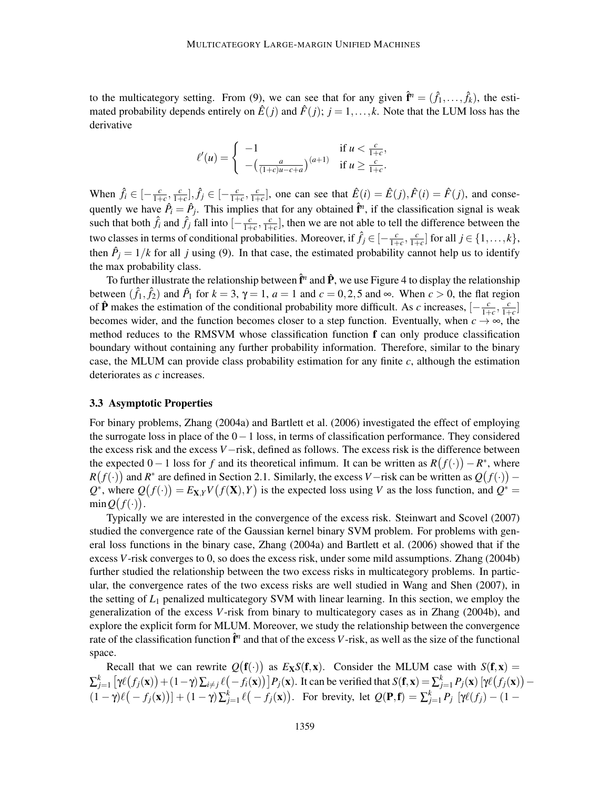to the multicategory setting. From (9), we can see that for any given  $\hat{\mathbf{r}}^n = (\hat{f}_1, \dots, \hat{f}_k)$ , the estimated probability depends entirely on  $\hat{E}(j)$  and  $\hat{F}(j)$ ;  $j = 1, \ldots, k$ . Note that the LUM loss has the derivative

$$
\ell'(u) = \begin{cases}\n-1 & \text{if } u < \frac{c}{1+c}, \\
-(\frac{a}{(1+c)u-c+a})^{(a+1)} & \text{if } u \ge \frac{c}{1+c}.\n\end{cases}
$$

When  $\hat{f}_i \in \left[-\frac{c}{1+\alpha}\right]$  $\frac{c}{1+c}$ ,  $\frac{c}{1+c}$  $\left[\frac{c}{1+c}\right], \hat{f}_j \in \left[-\frac{c}{1+c}\right]$  $\frac{c}{1+c}$ ,  $\frac{c}{1+c}$  $\frac{c}{1+c}$ , one can see that  $\hat{E}(i) = \hat{E}(j), \hat{F}(i) = \hat{F}(j)$ , and consequently we have  $\hat{P}_i = \hat{P}_j$ . This implies that for any obtained  $\hat{\mathbf{f}}^n$ , if the classification signal is weak such that both  $\hat{f}_i$  and  $\hat{f}_j$  fall into  $\left[-\frac{c}{1+\alpha}\right]$  $\frac{c}{1+c}$ ,  $\frac{c}{1+c}$  $\frac{c}{1+c}$ , then we are not able to tell the difference between the two classes in terms of conditional probabilities. Moreover, if  $\hat{f}_j \in \left[-\frac{c}{1+\epsilon}\right]$  $\frac{c}{1+c}$ ,  $\frac{c}{1+c}$  $\frac{c}{1+c}$  for all  $j \in \{1,\ldots,k\},\$ then  $\hat{P}_j = 1/k$  for all *j* using (9). In that case, the estimated probability cannot help us to identify the max probability class.

To further illustrate the relationship between  $\hat{\mathbf{f}}^n$  and  $\hat{\mathbf{P}}$ , we use Figure 4 to display the relationship between  $(\hat{f}_1, \hat{f}_2)$  and  $\hat{P}_1$  for  $k = 3$ ,  $\gamma = 1$ ,  $a = 1$  and  $c = 0, 2, 5$  and  $\infty$ . When  $c > 0$ , the flat region of  $\hat{P}$  makes the estimation of the conditional probability more difficult. As *c* increases,  $\left[-\frac{c}{1+\epsilon}\right]$  $\frac{c}{1+c}$ ,  $\frac{c}{1+c}$  $\frac{c}{1+c}$ becomes wider, and the function becomes closer to a step function. Eventually, when  $c \rightarrow \infty$ , the method reduces to the RMSVM whose classification function f can only produce classification boundary without containing any further probability information. Therefore, similar to the binary case, the MLUM can provide class probability estimation for any finite *c*, although the estimation deteriorates as *c* increases.

#### 3.3 Asymptotic Properties

For binary problems, Zhang (2004a) and Bartlett et al. (2006) investigated the effect of employing the surrogate loss in place of the 0−1 loss, in terms of classification performance. They considered the excess risk and the excess *V*−risk, defined as follows. The excess risk is the difference between the expected  $0-1$  loss for *f* and its theoretical infimum. It can be written as  $R(f(\cdot)) - R^*$ , where  $R(f(\cdot))$  and  $R^*$  are defined in Section 2.1. Similarly, the excess *V*−risk can be written as  $Q(f(\cdot))$  –  $Q^*$ , where  $Q(f(\cdot)) = E_{\mathbf{X},Y}V(f(\mathbf{X}), Y)$  is the expected loss using *V* as the loss function, and  $Q^* =$  $\min Q(f(\cdot)).$ 

Typically we are interested in the convergence of the excess risk. Steinwart and Scovel (2007) studied the convergence rate of the Gaussian kernel binary SVM problem. For problems with general loss functions in the binary case, Zhang (2004a) and Bartlett et al. (2006) showed that if the excess *V*-risk converges to 0, so does the excess risk, under some mild assumptions. Zhang (2004b) further studied the relationship between the two excess risks in multicategory problems. In particular, the convergence rates of the two excess risks are well studied in Wang and Shen (2007), in the setting of *L*<sup>1</sup> penalized multicategory SVM with linear learning. In this section, we employ the generalization of the excess *V*-risk from binary to multicategory cases as in Zhang (2004b), and explore the explicit form for MLUM. Moreover, we study the relationship between the convergence rate of the classification function  $\hat{\mathbf{f}}^n$  and that of the excess *V*-risk, as well as the size of the functional space.

Recall that we can rewrite  $Q(\mathbf{f}(\cdot))$  as  $E_\mathbf{X}S(\mathbf{f},\mathbf{x})$ . Consider the MLUM case with  $S(\mathbf{f},\mathbf{x}) =$  $\sum_{j=1}^k \left[ \gamma \ell(f_j(\mathbf{x})) + (1-\gamma) \sum_{i \neq j} \ell(-f_i(\mathbf{x})) \right] P_j(\mathbf{x})$ . It can be verified that  $S(\mathbf{f}, \mathbf{x}) = \sum_{j=1}^k P_j(\mathbf{x}) \left[ \gamma \ell(f_j(\mathbf{x})) - \gamma(f_j(\mathbf{x})) \right]$  $(1 - \gamma)\ell(-f_j(\mathbf{x})) + (1 - \gamma)\sum_{j=1}^k \ell(-f_j(\mathbf{x}))$ . For brevity, let  $Q(\mathbf{P}, \mathbf{f}) = \sum_{j=1}^k P_j [\gamma \ell(f_j) - (1 - \gamma)\ell(-f_j(\mathbf{x}))]$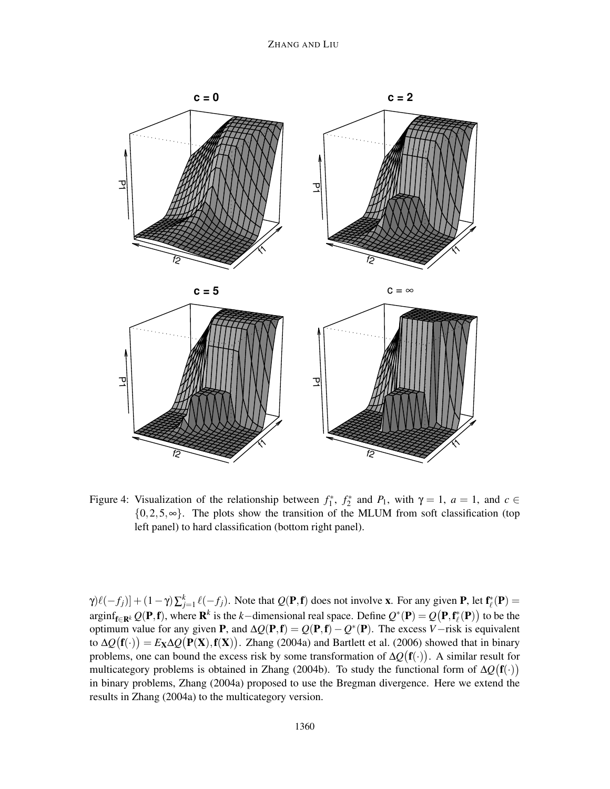

Figure 4: Visualization of the relationship between  $f_1^*$ ,  $f_2^*$  and  $P_1$ , with  $\gamma = 1$ ,  $a = 1$ , and  $c \in$  ${0,2,5,\infty}$ . The plots show the transition of the MLUM from soft classification (top left panel) to hard classification (bottom right panel).

 $\gamma$ ) $\ell(-f_j)$  +  $(1-\gamma)\sum_{j=1}^k \ell(-f_j)$ . Note that  $Q(\mathbf{P}, \mathbf{f})$  does not involve x. For any given **P**, let  $\mathbf{f}_{\ell}^*(\mathbf{P})$  =  $\arg\inf_{\mathbf{f}\in\mathbf{R}^k} Q(\mathbf{P}, \mathbf{f})$ , where  $\mathbf{R}^k$  is the *k*−dimensional real space. Define  $Q^*(\mathbf{P}) = Q(\mathbf{P}, \mathbf{f}_\ell^*(\mathbf{P}))$  to be the optimum value for any given P, and ∆*Q*(P,f) = *Q*(P,f)−*Q* ∗ (P). The excess *V*−risk is equivalent to  $\Delta Q(\mathbf{f}(\cdot)) = E_{\mathbf{X}} \Delta Q(\mathbf{P}(\mathbf{X}), \mathbf{f}(\mathbf{X}))$ . Zhang (2004a) and Bartlett et al. (2006) showed that in binary problems, one can bound the excess risk by some transformation of  $\Delta Q(\mathbf{f}(\cdot))$ . A similar result for multicategory problems is obtained in Zhang (2004b). To study the functional form of  $\Delta Q(\mathbf{f}(\cdot))$ in binary problems, Zhang (2004a) proposed to use the Bregman divergence. Here we extend the results in Zhang (2004a) to the multicategory version.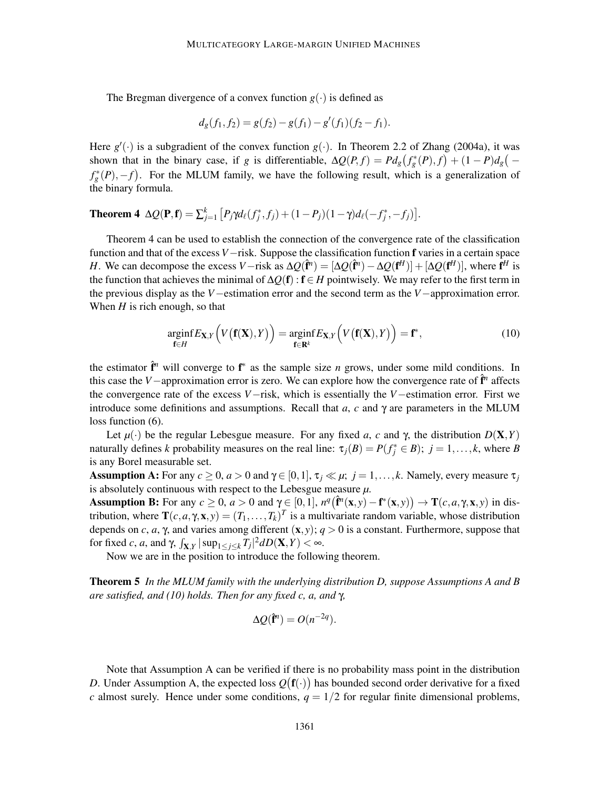The Bregman divergence of a convex function  $g(\cdot)$  is defined as

$$
d_g(f_1, f_2) = g(f_2) - g(f_1) - g'(f_1)(f_2 - f_1).
$$

Here  $g'(\cdot)$  is a subgradient of the convex function  $g(\cdot)$ . In Theorem 2.2 of Zhang (2004a), it was shown that in the binary case, if *g* is differentiable,  $\Delta Q(P, f) = P d_g (f_g^*(P), f) + (1 - P) d_g (-f_g^*(P), f)$  $f_g^*(P)$ , -*f*). For the MLUM family, we have the following result, which is a generalization of the binary formula.

# **Theorem 4** ΔQ(**P**,**f**) =  $\sum_{j=1}^{k} [P_j \gamma d_\ell(f_j^*, f_j) + (1 - P_j)(1 - \gamma) d_\ell(-f_j^*, -f_j)].$

Theorem 4 can be used to establish the connection of the convergence rate of the classification function and that of the excess *V*−risk. Suppose the classification function f varies in a certain space *H*. We can decompose the excess *V*−risk as  $\Delta Q(\hat{\mathbf{f}}^n) = [\Delta Q(\hat{\mathbf{f}}^n) - \Delta Q(\mathbf{f}^H)] + [\Delta Q(\mathbf{f}^H)]$ , where  $\mathbf{f}^H$  is the function that achieves the minimal of ∆*Q*(f): f ∈ *H* pointwisely. We may refer to the first term in the previous display as the *V*−estimation error and the second term as the *V*−approximation error. When *H* is rich enough, so that

$$
\underset{\mathbf{f}\in H}{\text{arginf}} E_{\mathbf{X},Y}\Big(V\big(\mathbf{f}(\mathbf{X}),Y\big)\Big) = \underset{\mathbf{f}\in\mathbf{R}^k}{\text{arginf}} E_{\mathbf{X},Y}\Big(V\big(\mathbf{f}(\mathbf{X}),Y\big)\Big) = \mathbf{f}^*,\tag{10}
$$

the estimator  $\hat{\mathbf{r}}^n$  will converge to  $\mathbf{f}^*$  as the sample size *n* grows, under some mild conditions. In this case the *V*−approximation error is zero. We can explore how the convergence rate of  $\hat{\mathbf{f}}^n$  affects the convergence rate of the excess *V*−risk, which is essentially the *V*−estimation error. First we introduce some definitions and assumptions. Recall that  $a$ ,  $c$  and  $\gamma$  are parameters in the MLUM loss function  $(6)$ .

Let  $\mu(\cdot)$  be the regular Lebesgue measure. For any fixed *a*, *c* and  $\gamma$ , the distribution  $D(\mathbf{X}, Y)$ naturally defines *k* probability measures on the real line:  $\tau_j(B) = P(f_j^* \in B)$ ;  $j = 1, ..., k$ , where *B* is any Borel measurable set.

Assumption A: For any  $c \ge 0$ ,  $a > 0$  and  $\gamma \in [0,1]$ ,  $\tau_j \ll \mu$ ;  $j = 1,...,k$ . Namely, every measure  $\tau_j$ is absolutely continuous with respect to the Lebesgue measure *µ*.

Assumption B: For any  $c \ge 0$ ,  $a > 0$  and  $\gamma \in [0,1]$ ,  $n^q(\hat{\mathbf{f}}^n(\mathbf{x},y) - \mathbf{f}^*(\mathbf{x},y)) \to \mathbf{T}(c,a,\gamma,\mathbf{x},y)$  in distribution, where  $\mathbf{T}(c, a, \gamma, \mathbf{x}, y) = (T_1, \dots, T_k)^T$  is a multivariate random variable, whose distribution depends on *c*, *a*,  $\gamma$ , and varies among different  $(\mathbf{x}, y)$ ;  $q > 0$  is a constant. Furthermore, suppose that for fixed *c*, *a*, and  $\gamma$ ,  $\int_{X,Y} |\sup_{1 \le j \le k} T_j|^2 dD(X,Y) < \infty$ .

Now we are in the position to introduce the following theorem.

Theorem 5 *In the MLUM family with the underlying distribution D, suppose Assumptions A and B are satisfied, and (10) holds. Then for any fixed c, a, and* γ*,*

$$
\Delta Q(\hat{\mathbf{f}}^n) = O(n^{-2q}).
$$

Note that Assumption A can be verified if there is no probability mass point in the distribution *D*. Under Assumption A, the expected loss  $Q(f(\cdot))$  has bounded second order derivative for a fixed *c* almost surely. Hence under some conditions,  $q = 1/2$  for regular finite dimensional problems,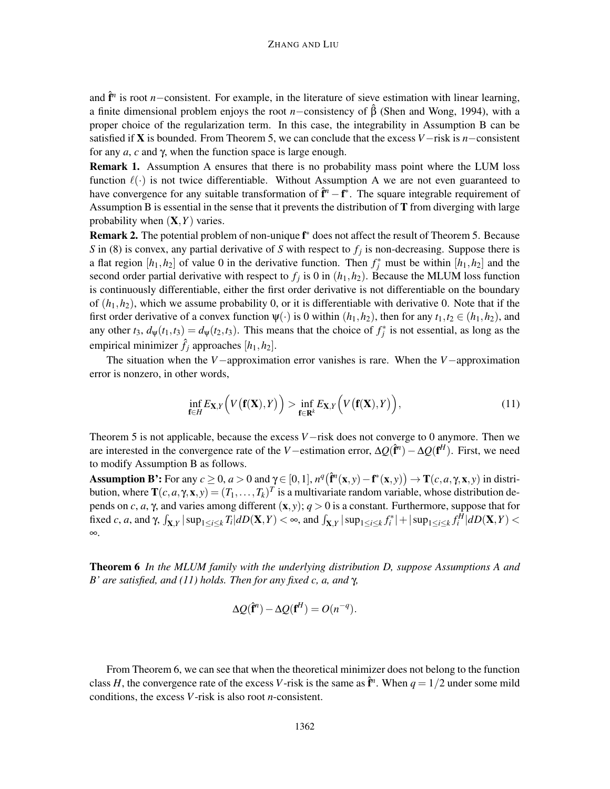and  $\hat{\mathbf{f}}^n$  is root *n*−consistent. For example, in the literature of sieve estimation with linear learning, a finite dimensional problem enjoys the root *n*−consistency of  $\hat{\beta}$  (Shen and Wong, 1994), with a proper choice of the regularization term. In this case, the integrability in Assumption B can be satisfied if X is bounded. From Theorem 5, we can conclude that the excess *V*−risk is *n*−consistent for any *a*, *c* and γ, when the function space is large enough.

Remark 1. Assumption A ensures that there is no probability mass point where the LUM loss function  $\ell(\cdot)$  is not twice differentiable. Without Assumption A we are not even guaranteed to have convergence for any suitable transformation of  $\hat{\mathbf{f}}^n - \mathbf{f}^*$ . The square integrable requirement of Assumption B is essential in the sense that it prevents the distribution of  $T$  from diverging with large probability when (X,*Y*) varies.

Remark 2. The potential problem of non-unique  $f^*$  does not affect the result of Theorem 5. Because *S* in (8) is convex, any partial derivative of *S* with respect to *f<sup>j</sup>* is non-decreasing. Suppose there is a flat region  $[h_1, h_2]$  of value 0 in the derivative function. Then  $f_j^*$  must be within  $[h_1, h_2]$  and the second order partial derivative with respect to  $f_j$  is 0 in  $(h_1, h_2)$ . Because the MLUM loss function is continuously differentiable, either the first order derivative is not differentiable on the boundary of  $(h_1, h_2)$ , which we assume probability 0, or it is differentiable with derivative 0. Note that if the first order derivative of a convex function  $\psi(\cdot)$  is 0 within  $(h_1, h_2)$ , then for any  $t_1, t_2 \in (h_1, h_2)$ , and any other  $t_3$ ,  $d_\psi(t_1, t_3) = d_\psi(t_2, t_3)$ . This means that the choice of  $f_j^*$  is not essential, as long as the empirical minimizer  $\hat{f}_i$  approaches  $[h_1, h_2]$ .

The situation when the *V*−approximation error vanishes is rare. When the *V*−approximation error is nonzero, in other words,

$$
\inf_{\mathbf{f}\in H} E_{\mathbf{X},Y}\Big(V\big(\mathbf{f}(\mathbf{X}),Y\big)\Big) > \inf_{\mathbf{f}\in\mathbf{R}^k} E_{\mathbf{X},Y}\Big(V\big(\mathbf{f}(\mathbf{X}),Y\big)\Big),\tag{11}
$$

Theorem 5 is not applicable, because the excess *V*−risk does not converge to 0 anymore. Then we are interested in the convergence rate of the *V*—estimation error,  $\Delta Q(\hat{f}^n) - \Delta Q(f^H)$ . First, we need to modify Assumption B as follows.

Assumption B': For any  $c \ge 0$ ,  $a > 0$  and  $\gamma \in [0, 1]$ ,  $n^q (\hat{\mathbf{f}}^n(\mathbf{x}, y) - \mathbf{f}^*(\mathbf{x}, y)) \to \mathbf{T}(c, a, \gamma, \mathbf{x}, y)$  in distribution, where  $\mathbf{T}(c, a, \gamma, \mathbf{x}, y) = (T_1, \dots, T_k)^T$  is a multivariate random variable, whose distribution depends on *c*, *a*, γ, and varies among different  $(x, y)$ ;  $q > 0$  is a constant. Furthermore, suppose that for fixed *c*, *a*, and  $\gamma$ ,  $\int_{\mathbf{X},Y} |\sup_{1 \le i \le k} T_i| dD(\mathbf{X}, Y) < \infty$ , and  $\int_{\mathbf{X},Y} |\sup_{1 \le i \le k} f_i^*| + |\sup_{1 \le i \le k} f_i^H| dD(\mathbf{X}, Y) <$ ∞.

Theorem 6 *In the MLUM family with the underlying distribution D, suppose Assumptions A and B' are satisfied, and (11) holds. Then for any fixed c, a, and* γ*,*

$$
\Delta Q(\hat{\mathbf{f}}^n) - \Delta Q(\mathbf{f}^H) = O(n^{-q}).
$$

From Theorem 6, we can see that when the theoretical minimizer does not belong to the function class *H*, the convergence rate of the excess *V*-risk is the same as  $\hat{\mathbf{f}}^n$ . When  $q = 1/2$  under some mild conditions, the excess *V*-risk is also root *n*-consistent.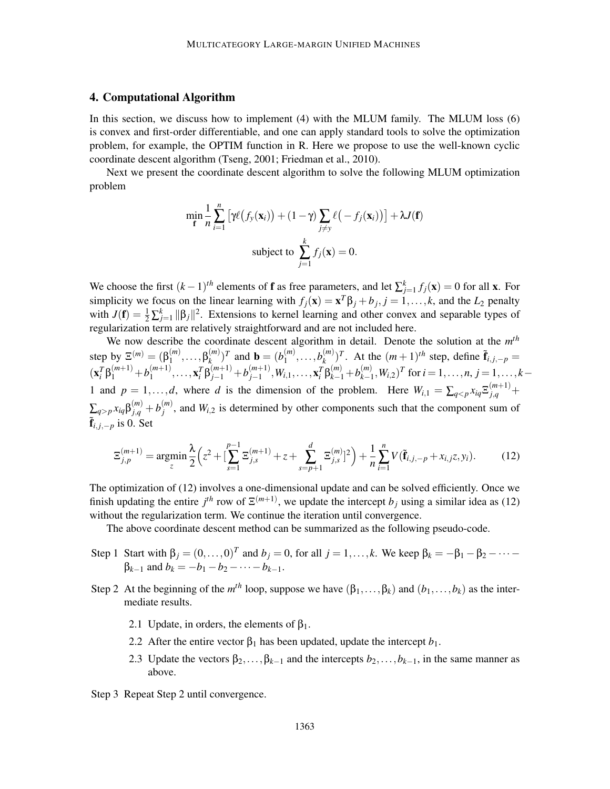# 4. Computational Algorithm

In this section, we discuss how to implement (4) with the MLUM family. The MLUM loss (6) is convex and first-order differentiable, and one can apply standard tools to solve the optimization problem, for example, the OPTIM function in R. Here we propose to use the well-known cyclic coordinate descent algorithm (Tseng, 2001; Friedman et al., 2010).

Next we present the coordinate descent algorithm to solve the following MLUM optimization problem

$$
\min_{\mathbf{f}} \frac{1}{n} \sum_{i=1}^{n} \left[ \gamma \ell \big( f_{\mathbf{y}}(\mathbf{x}_i) \big) + (1 - \gamma) \sum_{j \neq \mathbf{y}} \ell \big( - f_j(\mathbf{x}_i) \big) \right] + \lambda J(\mathbf{f})
$$
\n
$$
\text{subject to } \sum_{j=1}^{k} f_j(\mathbf{x}) = 0.
$$

We choose the first  $(k-1)$ <sup>th</sup> elements of **f** as free parameters, and let  $\sum_{j=1}^{k} f_j(\mathbf{x}) = 0$  for all **x**. For simplicity we focus on the linear learning with  $f_j(\mathbf{x}) = \mathbf{x}^T \beta_j + b_j$ ,  $j = 1, ..., k$ , and the  $L_2$  penalty with  $J(f) = \frac{1}{2} \sum_{j=1}^{k} ||\beta_j||^2$ . Extensions to kernel learning and other convex and separable types of regularization term are relatively straightforward and are not included here.

We now describe the coordinate descent algorithm in detail. Denote the solution at the *m th* step by  $\Xi^{(m)} = (\beta_1^{(m)})$  $\mathfrak{f}_{1}^{(m)},\ldots,\mathfrak{B}_{k}^{(m)}$  $(k \choose k)$ <sup>T</sup> and **b** =  $(b_1^{(m)})$  $\binom{(m)}{1},\ldots,b_k^{(m)}$  $\sum_{k}^{(m)}$ )<sup>T</sup>. At the  $(m+1)$ <sup>th</sup> step, define  $\tilde{\mathbf{f}}_{i,j,-p}$  =  $(\mathbf{x}_i^T \boldsymbol{\beta}_1^{(m+1)} + b_1^{(m+1)}$  $\mathbf{x}_i^{(m+1)}, \ldots, \mathbf{x}_i^{T} \beta_{j-1}^{(m+1)} + b_{j-1}^{(m+1)}$  $y_{j-1}^{(m+1)}, W_{i,1}, \ldots, x_i^T \beta_{k-1}^{(m)} + b_{k-1}^{(m)}$  $(k_{k-1}^{(m)}, W_{i,2})^T$  for  $i = 1, ..., n$ ,  $j = 1, ..., k-1$ 1 and  $p = 1, \ldots, d$ , where *d* is the dimension of the problem. Here  $W_{i,1} = \sum_{q < p} x_{iq} \mathbb{E}_{j,q}^{(m+1)} +$  $\sum_{q>p} x_{iq}\beta^{(m)}_{j,q} + b^{(m)}_j$  $j^{(m)}$ , and  $W_{i,2}$  is determined by other components such that the component sum of  $\tilde{\mathbf{f}}_{i,j,-p}$  is 0. Set

$$
\Xi_{j,p}^{(m+1)} = \underset{z}{\text{argmin}} \frac{\lambda}{2} \Big( z^2 + \left[ \sum_{s=1}^{p-1} \Xi_{j,s}^{(m+1)} + z + \sum_{s=p+1}^d \Xi_{j,s}^{(m)} \right]^2 \Big) + \frac{1}{n} \sum_{i=1}^n V(\tilde{\mathbf{f}}_{i,j,-p} + x_{i,j}z, y_i). \tag{12}
$$

The optimization of (12) involves a one-dimensional update and can be solved efficiently. Once we finish updating the entire  $j<sup>th</sup>$  row of  $\mathbb{E}^{(m+1)}$ , we update the intercept  $b_j$  using a similar idea as (12) without the regularization term. We continue the iteration until convergence.

The above coordinate descent method can be summarized as the following pseudo-code.

- Step 1 Start with  $\beta_j = (0, \ldots, 0)^T$  and  $b_j = 0$ , for all  $j = 1, \ldots, k$ . We keep  $\beta_k = -\beta_1 \beta_2 \cdots \beta_{k-1}$  and  $b_k = -b_1 - b_2 - \cdots - b_{k-1}$ .
- Step 2 At the beginning of the  $m^{th}$  loop, suppose we have  $(\beta_1, \ldots, \beta_k)$  and  $(b_1, \ldots, b_k)$  as the intermediate results.
	- 2.1 Update, in orders, the elements of  $\beta_1$ .
	- 2.2 After the entire vector  $\beta_1$  has been updated, update the intercept  $b_1$ .
	- 2.3 Update the vectors  $\beta_2, \ldots, \beta_{k-1}$  and the intercepts  $b_2, \ldots, b_{k-1}$ , in the same manner as above.
- Step 3 Repeat Step 2 until convergence.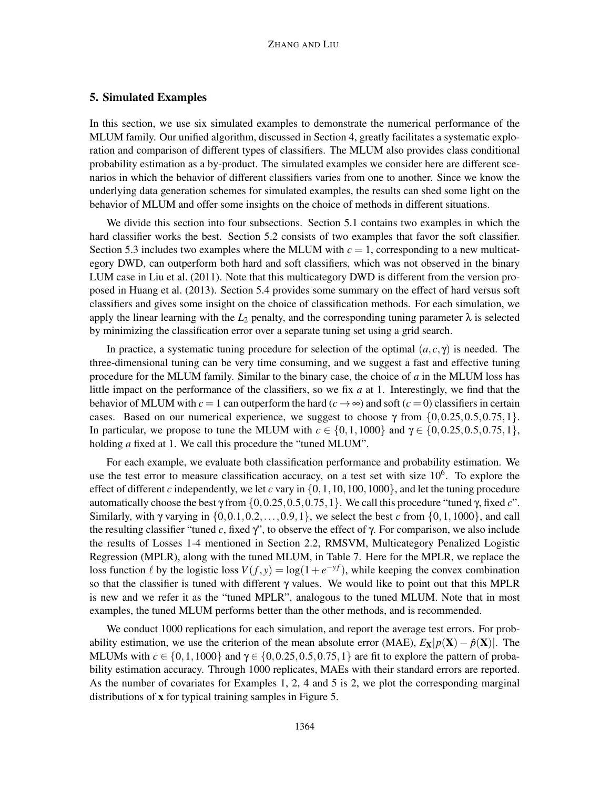# 5. Simulated Examples

In this section, we use six simulated examples to demonstrate the numerical performance of the MLUM family. Our unified algorithm, discussed in Section 4, greatly facilitates a systematic exploration and comparison of different types of classifiers. The MLUM also provides class conditional probability estimation as a by-product. The simulated examples we consider here are different scenarios in which the behavior of different classifiers varies from one to another. Since we know the underlying data generation schemes for simulated examples, the results can shed some light on the behavior of MLUM and offer some insights on the choice of methods in different situations.

We divide this section into four subsections. Section 5.1 contains two examples in which the hard classifier works the best. Section 5.2 consists of two examples that favor the soft classifier. Section 5.3 includes two examples where the MLUM with  $c = 1$ , corresponding to a new multicategory DWD, can outperform both hard and soft classifiers, which was not observed in the binary LUM case in Liu et al. (2011). Note that this multicategory DWD is different from the version proposed in Huang et al. (2013). Section 5.4 provides some summary on the effect of hard versus soft classifiers and gives some insight on the choice of classification methods. For each simulation, we apply the linear learning with the  $L_2$  penalty, and the corresponding tuning parameter  $\lambda$  is selected by minimizing the classification error over a separate tuning set using a grid search.

In practice, a systematic tuning procedure for selection of the optimal  $(a, c, \gamma)$  is needed. The three-dimensional tuning can be very time consuming, and we suggest a fast and effective tuning procedure for the MLUM family. Similar to the binary case, the choice of *a* in the MLUM loss has little impact on the performance of the classifiers, so we fix *a* at 1. Interestingly, we find that the behavior of MLUM with  $c = 1$  can outperform the hard  $(c \rightarrow \infty)$  and soft  $(c = 0)$  classifiers in certain cases. Based on our numerical experience, we suggest to choose  $\gamma$  from  $\{0, 0.25, 0.5, 0.75, 1\}$ . In particular, we propose to tune the MLUM with  $c \in \{0, 1, 1000\}$  and  $\gamma \in \{0, 0.25, 0.5, 0.75, 1\}$ , holding *a* fixed at 1. We call this procedure the "tuned MLUM".

For each example, we evaluate both classification performance and probability estimation. We use the test error to measure classification accuracy, on a test set with size  $10<sup>6</sup>$ . To explore the effect of different *c* independently, we let *c* vary in  $\{0, 1, 10, 100, 1000\}$ , and let the tuning procedure automatically choose the best γ from  $\{0, 0.25, 0.5, 0.75, 1\}$ . We call this procedure "tuned γ, fixed *c*". Similarly, with  $\gamma$  varying in  $\{0,0.1,0.2,\ldots,0.9,1\}$ , we select the best *c* from  $\{0,1,1000\}$ , and call the resulting classifier "tuned c, fixed  $\gamma$ ", to observe the effect of  $\gamma$ . For comparison, we also include the results of Losses 1-4 mentioned in Section 2.2, RMSVM, Multicategory Penalized Logistic Regression (MPLR), along with the tuned MLUM, in Table 7. Here for the MPLR, we replace the loss function  $\ell$  by the logistic loss  $V(f, y) = \log(1 + e^{-y f})$ , while keeping the convex combination so that the classifier is tuned with different γ values. We would like to point out that this MPLR is new and we refer it as the "tuned MPLR", analogous to the tuned MLUM. Note that in most examples, the tuned MLUM performs better than the other methods, and is recommended.

We conduct 1000 replications for each simulation, and report the average test errors. For probability estimation, we use the criterion of the mean absolute error (MAE),  $E_X|p(X) - \hat{p}(X)$ . The MLUMs with  $c \in \{0, 1, 1000\}$  and  $\gamma \in \{0, 0.25, 0.5, 0.75, 1\}$  are fit to explore the pattern of probability estimation accuracy. Through 1000 replicates, MAEs with their standard errors are reported. As the number of covariates for Examples 1, 2, 4 and 5 is 2, we plot the corresponding marginal distributions of x for typical training samples in Figure 5.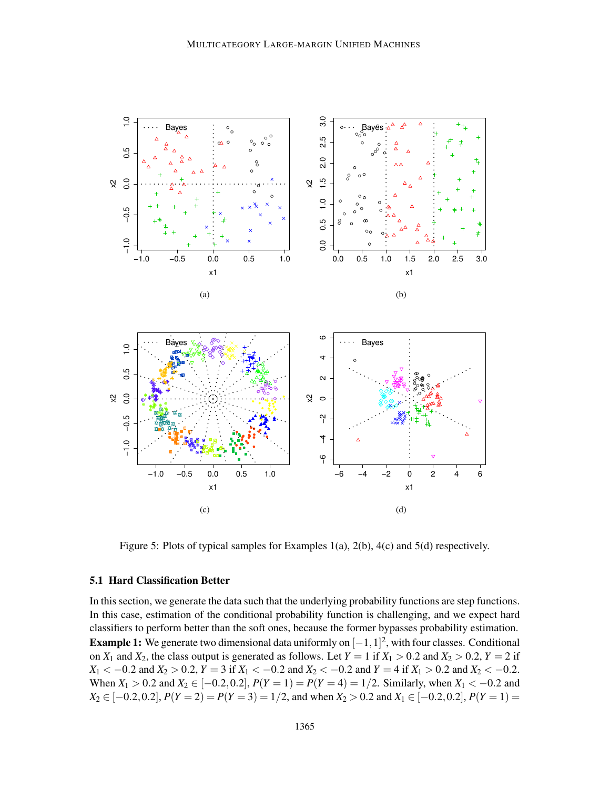

Figure 5: Plots of typical samples for Examples 1(a), 2(b), 4(c) and 5(d) respectively.

# 5.1 Hard Classification Better

In this section, we generate the data such that the underlying probability functions are step functions. In this case, estimation of the conditional probability function is challenging, and we expect hard classifiers to perform better than the soft ones, because the former bypasses probability estimation. **Example 1:** We generate two dimensional data uniformly on  $[-1,1]^2$ , with four classes. Conditional on  $X_1$  and  $X_2$ , the class output is generated as follows. Let  $Y = 1$  if  $X_1 > 0.2$  and  $X_2 > 0.2$ ,  $Y = 2$  if *X*<sub>1</sub> < −0.2 and *X*<sub>2</sub> > 0.2, *Y* = 3 if *X*<sub>1</sub> < −0.2 and *X*<sub>2</sub> < −0.2 and *Y* = 4 if *X*<sub>1</sub> > 0.2 and *X*<sub>2</sub> < −0.2. When  $X_1 > 0.2$  and  $X_2 \in [-0.2, 0.2]$ ,  $P(Y = 1) = P(Y = 4) = 1/2$ . Similarly, when  $X_1 < -0.2$  and *X*<sub>2</sub> ∈ [−0.2, 0.2],  $P(Y = 2) = P(Y = 3) = 1/2$ , and when  $X_2 > 0.2$  and  $X_1 \in [-0.2, 0.2]$ ,  $P(Y = 1) =$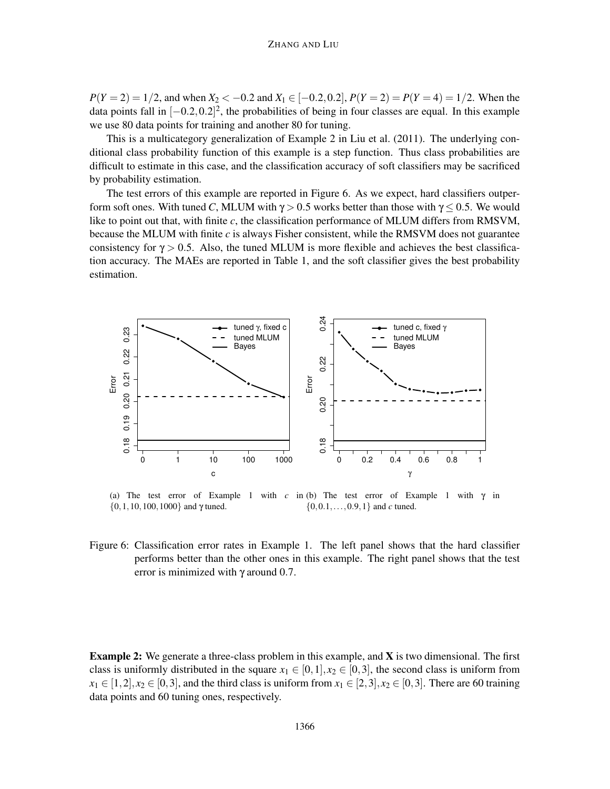*P*(*Y* = 2) = 1/2, and when *X*<sub>2</sub> < −0.2 and *X*<sub>1</sub> ∈ [−0.2, 0.2], *P*(*Y* = 2) = *P*(*Y* = 4) = 1/2. When the data points fall in  $[-0.2, 0.2]^2$ , the probabilities of being in four classes are equal. In this example we use 80 data points for training and another 80 for tuning.

This is a multicategory generalization of Example 2 in Liu et al. (2011). The underlying conditional class probability function of this example is a step function. Thus class probabilities are difficult to estimate in this case, and the classification accuracy of soft classifiers may be sacrificed by probability estimation.

The test errors of this example are reported in Figure 6. As we expect, hard classifiers outperform soft ones. With tuned *C*, MLUM with  $\gamma > 0.5$  works better than those with  $\gamma < 0.5$ . We would like to point out that, with finite *c*, the classification performance of MLUM differs from RMSVM, because the MLUM with finite *c* is always Fisher consistent, while the RMSVM does not guarantee consistency for  $\gamma > 0.5$ . Also, the tuned MLUM is more flexible and achieves the best classification accuracy. The MAEs are reported in Table 1, and the soft classifier gives the best probability estimation.



(a) The test error of Example 1 with  $c$  in (b) The test error of Example 1 with  $\gamma$  in {0, 1, 10, 100, 1000} and  $\gamma$  tuned. {0,0.1,...,0.9,1} and *c* tuned.

Figure 6: Classification error rates in Example 1. The left panel shows that the hard classifier performs better than the other ones in this example. The right panel shows that the test error is minimized with  $\gamma$  around 0.7.

Example 2: We generate a three-class problem in this example, and X is two dimensional. The first class is uniformly distributed in the square  $x_1 \in [0,1], x_2 \in [0,3]$ , the second class is uniform from  $x_1 \in [1,2], x_2 \in [0,3]$ , and the third class is uniform from  $x_1 \in [2,3], x_2 \in [0,3]$ . There are 60 training data points and 60 tuning ones, respectively.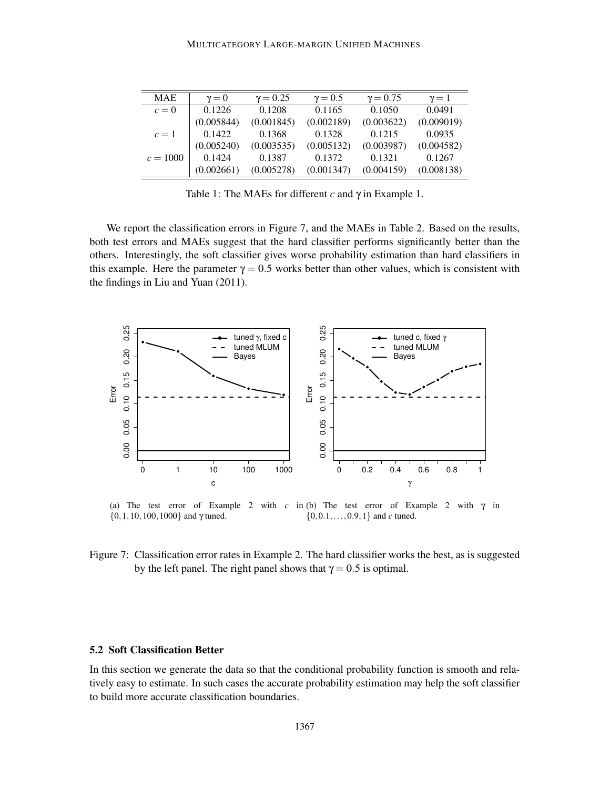| <b>MAE</b> | $v = 0$    | $\gamma = 0.25$ | $\gamma = 0.5$ | $\gamma = 0.75$ | $\gamma = 1$ |
|------------|------------|-----------------|----------------|-----------------|--------------|
| $c=0$      | 0.1226     | 0.1208          | 0.1165         | 0.1050          | 0.0491       |
|            | (0.005844) | (0.001845)      | (0.002189)     | (0.003622)      | (0.009019)   |
| $c=1$      | 0.1422     | 0.1368          | 0.1328         | 0.1215          | 0.0935       |
|            | (0.005240) | (0.003535)      | (0.005132)     | (0.003987)      | (0.004582)   |
| $c = 1000$ | 0.1424     | 0.1387          | 0.1372         | 0.1321          | 0.1267       |
|            | (0.002661) | (0.005278)      | (0.001347)     | (0.004159)      | (0.008138)   |

Table 1: The MAEs for different *c* and γ in Example 1.

We report the classification errors in Figure 7, and the MAEs in Table 2. Based on the results, both test errors and MAEs suggest that the hard classifier performs significantly better than the others. Interestingly, the soft classifier gives worse probability estimation than hard classifiers in this example. Here the parameter  $\gamma = 0.5$  works better than other values, which is consistent with the findings in Liu and Yuan (2011).



(a) The test error of Example 2 with  $c$  in (b) The test error of Example 2 with  $\gamma$  in {0, 1, 10, 100, 1000} and  $\gamma$  tuned. {0,0.1,...,0.9,1} and *c* tuned.

Figure 7: Classification error rates in Example 2. The hard classifier works the best, as is suggested by the left panel. The right panel shows that  $\gamma = 0.5$  is optimal.

#### 5.2 Soft Classification Better

In this section we generate the data so that the conditional probability function is smooth and relatively easy to estimate. In such cases the accurate probability estimation may help the soft classifier to build more accurate classification boundaries.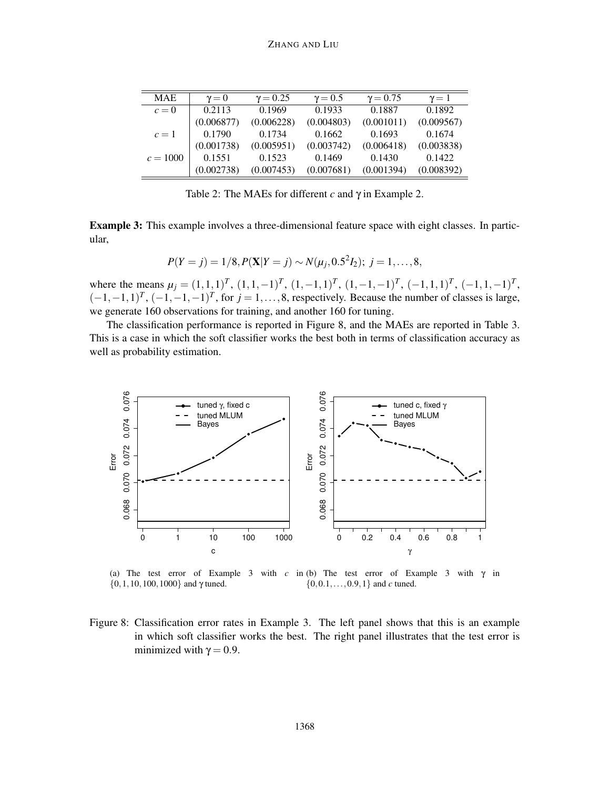| <b>MAE</b> | $\gamma = 0$ | $\gamma = 0.25$ | $\gamma = 0.5$ | $\gamma = 0.75$ | $\gamma=1$ |
|------------|--------------|-----------------|----------------|-----------------|------------|
| $c=0$      | 0.2113       | 0.1969          | 0.1933         | 0.1887          | 0.1892     |
|            | (0.006877)   | (0.006228)      | (0.004803)     | (0.001011)      | (0.009567) |
| $c=1$      | 0.1790       | 0.1734          | 0.1662         | 0.1693          | 0.1674     |
|            | (0.001738)   | (0.005951)      | (0.003742)     | (0.006418)      | (0.003838) |
| $c = 1000$ | 0.1551       | 0.1523          | 0.1469         | 0.1430          | 0.1422     |
|            | (0.002738)   | (0.007453)      | (0.007681)     | (0.001394)      | (0.008392) |

Table 2: The MAEs for different *c* and γ in Example 2.

Example 3: This example involves a three-dimensional feature space with eight classes. In particular,

$$
P(Y = j) = 1/8, P(X|Y = j) \sim N(\mu_j, 0.5^2 I_2); j = 1, ..., 8,
$$

where the means  $\mu_j = (1,1,1)^T$ ,  $(1,1,-1)^T$ ,  $(1,-1,1)^T$ ,  $(1,-1,-1)^T$ ,  $(-1,1,1)^T$ ,  $(-1,1,-1)^T$ ,  $(-1,-1,1)^T$ ,  $(-1,-1,-1)^T$ , for  $j=1,\ldots,8$ , respectively. Because the number of classes is large, we generate 160 observations for training, and another 160 for tuning.

The classification performance is reported in Figure 8, and the MAEs are reported in Table 3. This is a case in which the soft classifier works the best both in terms of classification accuracy as well as probability estimation.



(a) The test error of Example 3 with  $c$  in (b) The test error of Example 3 with  $\gamma$  in {0, 1, 10, 100, 1000} and  $\gamma$  tuned. {0,0.1,...,0.9,1} and *c* tuned.

Figure 8: Classification error rates in Example 3. The left panel shows that this is an example in which soft classifier works the best. The right panel illustrates that the test error is minimized with  $\gamma = 0.9$ .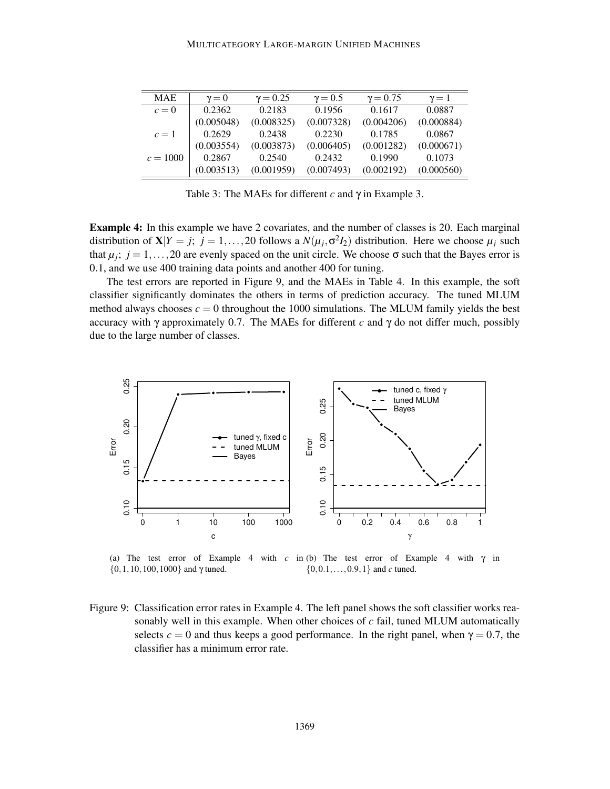| <b>MAE</b> | $\gamma = 0$ | $\gamma = 0.25$ | $\gamma = 0.5$ | $\gamma = 0.75$ | $\gamma=1$ |
|------------|--------------|-----------------|----------------|-----------------|------------|
| $c=0$      | 0.2362       | 0.2183          | 0.1956         | 0.1617          | 0.0887     |
|            | (0.005048)   | (0.008325)      | (0.007328)     | (0.004206)      | (0.000884) |
| $c=1$      | 0.2629       | 0.2438          | 0.2230         | 0.1785          | 0.0867     |
|            | (0.003554)   | (0.003873)      | (0.006405)     | (0.001282)      | (0.000671) |
| $c = 1000$ | 0.2867       | 0.2540          | 0.2432         | 0.1990          | 0.1073     |
|            | (0.003513)   | (0.001959)      | (0.007493)     | (0.002192)      | (0.000560) |

Table 3: The MAEs for different *c* and γ in Example 3.

Example 4: In this example we have 2 covariates, and the number of classes is 20. Each marginal distribution of  $X|Y = j$ ;  $j = 1,...,20$  follows a  $N(\mu_j, \sigma^2 I_2)$  distribution. Here we choose  $\mu_j$  such that  $\mu_j$ ;  $j = 1, \ldots, 20$  are evenly spaced on the unit circle. We choose  $\sigma$  such that the Bayes error is 0.1, and we use 400 training data points and another 400 for tuning.

The test errors are reported in Figure 9, and the MAEs in Table 4. In this example, the soft classifier significantly dominates the others in terms of prediction accuracy. The tuned MLUM method always chooses  $c = 0$  throughout the 1000 simulations. The MLUM family yields the best accuracy with  $\gamma$  approximately 0.7. The MAEs for different *c* and  $\gamma$  do not differ much, possibly due to the large number of classes.



(a) The test error of Example 4 with *c* in (b) The test error of Example 4 with  $\gamma$  in  $\{0, 1, 10, 100, 1000\}$  and  $\gamma$  tuned. {0,0.1,...,0.9,1} and *c* tuned.

Figure 9: Classification error rates in Example 4. The left panel shows the soft classifier works reasonably well in this example. When other choices of *c* fail, tuned MLUM automatically selects  $c = 0$  and thus keeps a good performance. In the right panel, when  $\gamma = 0.7$ , the classifier has a minimum error rate.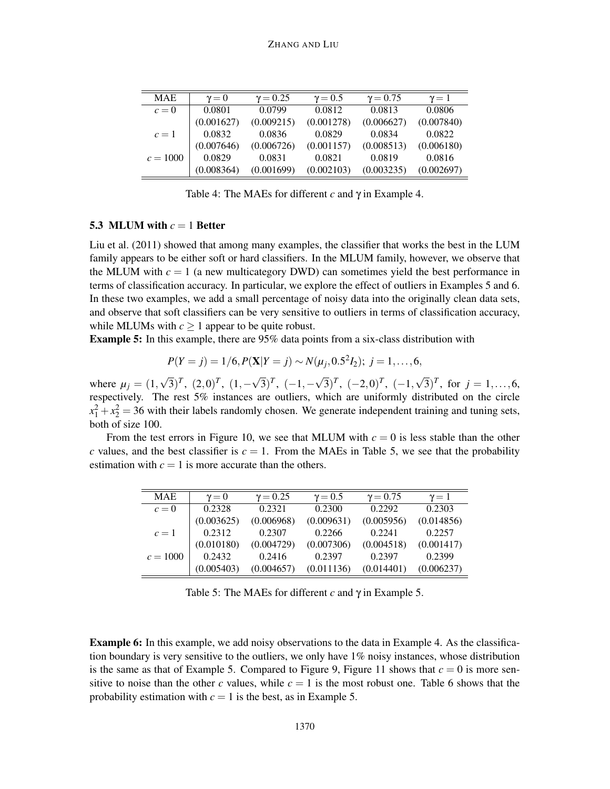| <b>MAE</b> | $\gamma = 0$ | $\gamma = 0.25$ | $\gamma = 0.5$ | $\gamma = 0.75$ | $\gamma=1$ |
|------------|--------------|-----------------|----------------|-----------------|------------|
| $c=0$      | 0.0801       | 0.0799          | 0.0812         | 0.0813          | 0.0806     |
|            | (0.001627)   | (0.009215)      | (0.001278)     | (0.006627)      | (0.007840) |
| $c=1$      | 0.0832       | 0.0836          | 0.0829         | 0.0834          | 0.0822     |
|            | (0.007646)   | (0.006726)      | (0.001157)     | (0.008513)      | (0.006180) |
| $c = 1000$ | 0.0829       | 0.0831          | 0.0821         | 0.0819          | 0.0816     |
|            | (0.008364)   | (0.001699)      | (0.002103)     | (0.003235)      | (0.002697) |

Table 4: The MAEs for different *c* and γ in Example 4.

## 5.3 MLUM with  $c = 1$  Better

Liu et al. (2011) showed that among many examples, the classifier that works the best in the LUM family appears to be either soft or hard classifiers. In the MLUM family, however, we observe that the MLUM with  $c = 1$  (a new multicategory DWD) can sometimes yield the best performance in terms of classification accuracy. In particular, we explore the effect of outliers in Examples 5 and 6. In these two examples, we add a small percentage of noisy data into the originally clean data sets, and observe that soft classifiers can be very sensitive to outliers in terms of classification accuracy, while MLUMs with  $c \geq 1$  appear to be quite robust.

Example 5: In this example, there are 95% data points from a six-class distribution with

$$
P(Y = j) = 1/6, P(\mathbf{X}|Y = j) \sim N(\mu_j, 0.5^2 I_2); j = 1, ..., 6,
$$

where  $\mu_j = (1, \sqrt{3})^T$ ,  $(2, 0)^T$ ,  $(1, -\sqrt{3})^T$ ,  $(-1, -\sqrt{3})^T$ ,  $(-2, 0)^T$ ,  $(-1, \sqrt{3})^T$ , for  $j = 1, ..., 6$ , respectively. The rest 5% instances are outliers, which are uniformly distributed on the circle  $x_1^2 + x_2^2 = 36$  with their labels randomly chosen. We generate independent training and tuning sets, both of size 100.

From the test errors in Figure 10, we see that MLUM with  $c = 0$  is less stable than the other *c* values, and the best classifier is  $c = 1$ . From the MAEs in Table 5, we see that the probability estimation with  $c = 1$  is more accurate than the others.

| <b>MAE</b> | $v = 0$    | $\gamma = 0.25$ | $\gamma = 0.5$ | $\gamma = 0.75$ | $\gamma=1$ |
|------------|------------|-----------------|----------------|-----------------|------------|
| $c=0$      | 0.2328     | 0.2321          | 0.2300         | 0.2292          | 0.2303     |
|            | (0.003625) | (0.006968)      | (0.009631)     | (0.005956)      | (0.014856) |
| $c=1$      | 0.2312     | 0.2307          | 0.2266         | 0.2241          | 0.2257     |
|            | (0.010180) | (0.004729)      | (0.007306)     | (0.004518)      | (0.001417) |
| $c = 1000$ | 0.2432     | 0.2416          | 0.2397         | 0.2397          | 0.2399     |
|            | (0.005403) | (0.004657)      | (0.011136)     | (0.014401)      | (0.006237) |

Table 5: The MAEs for different *c* and γ in Example 5.

Example 6: In this example, we add noisy observations to the data in Example 4. As the classification boundary is very sensitive to the outliers, we only have 1% noisy instances, whose distribution is the same as that of Example 5. Compared to Figure 9, Figure 11 shows that  $c = 0$  is more sensitive to noise than the other *c* values, while  $c = 1$  is the most robust one. Table 6 shows that the probability estimation with  $c = 1$  is the best, as in Example 5.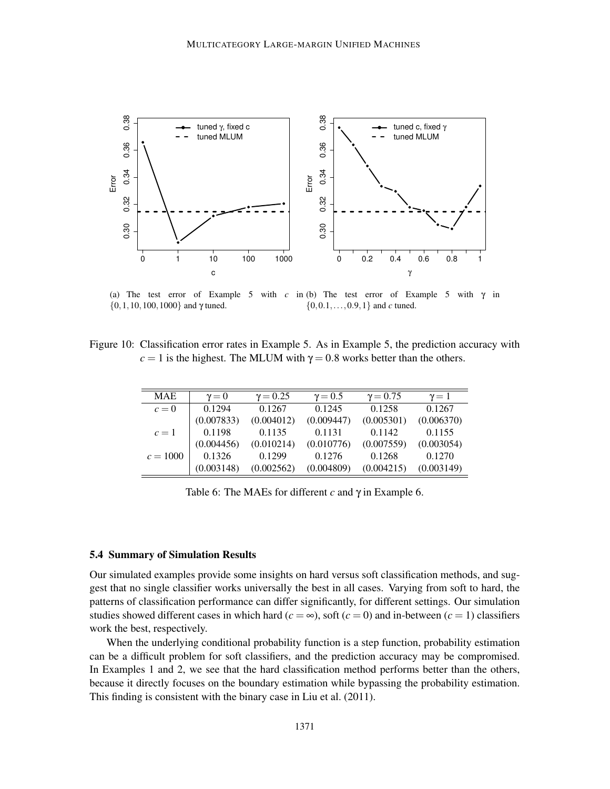

(a) The test error of Example 5 with *c* in (b) The test error of Example 5 with  $\gamma$  in  $\{0, 1, 10, 100, 1000\}$  and  $\gamma$  tuned. {0,0.1,...,0.9,1} and *c* tuned.

Figure 10: Classification error rates in Example 5. As in Example 5, the prediction accuracy with  $c = 1$  is the highest. The MLUM with  $\gamma = 0.8$  works better than the others.

| <b>MAE</b> | $v = 0$    | $\gamma = 0.25$ | $\gamma = 0.5$ | $\gamma = 0.75$ | $\gamma=1$ |
|------------|------------|-----------------|----------------|-----------------|------------|
| $c=0$      | 0.1294     | 0.1267          | 0.1245         | 0.1258          | 0.1267     |
|            | (0.007833) | (0.004012)      | (0.009447)     | (0.005301)      | (0.006370) |
| $c=1$      | 0.1198     | 0.1135          | 0.1131         | 0.1142          | 0.1155     |
|            | (0.004456) | (0.010214)      | (0.010776)     | (0.007559)      | (0.003054) |
| $c = 1000$ | 0.1326     | 0.1299          | 0.1276         | 0.1268          | 0.1270     |
|            | (0.003148) | (0.002562)      | (0.004809)     | (0.004215)      | (0.003149) |

Table 6: The MAEs for different *c* and γ in Example 6.

#### 5.4 Summary of Simulation Results

Our simulated examples provide some insights on hard versus soft classification methods, and suggest that no single classifier works universally the best in all cases. Varying from soft to hard, the patterns of classification performance can differ significantly, for different settings. Our simulation studies showed different cases in which hard ( $c = \infty$ ), soft ( $c = 0$ ) and in-between ( $c = 1$ ) classifiers work the best, respectively.

When the underlying conditional probability function is a step function, probability estimation can be a difficult problem for soft classifiers, and the prediction accuracy may be compromised. In Examples 1 and 2, we see that the hard classification method performs better than the others, because it directly focuses on the boundary estimation while bypassing the probability estimation. This finding is consistent with the binary case in Liu et al. (2011).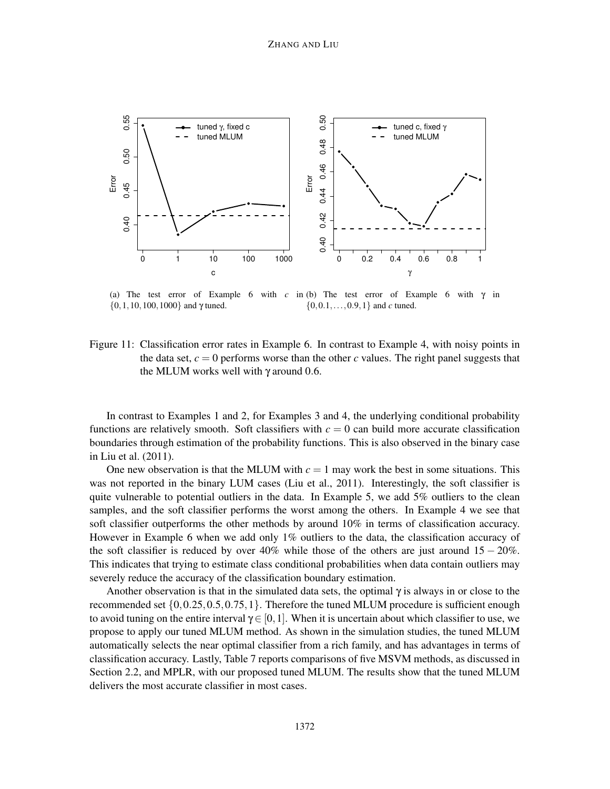

(a) The test error of Example 6 with  $c$  in (b) The test error of Example 6 with  $\gamma$  in  $\{0, 1, 10, 100, 1000\}$  and  $\gamma$  tuned. {0,0.1,...,0.9,1} and *c* tuned.

Figure 11: Classification error rates in Example 6. In contrast to Example 4, with noisy points in the data set,  $c = 0$  performs worse than the other *c* values. The right panel suggests that the MLUM works well with  $\gamma$  around 0.6.

In contrast to Examples 1 and 2, for Examples 3 and 4, the underlying conditional probability functions are relatively smooth. Soft classifiers with  $c = 0$  can build more accurate classification boundaries through estimation of the probability functions. This is also observed in the binary case in Liu et al. (2011).

One new observation is that the MLUM with  $c = 1$  may work the best in some situations. This was not reported in the binary LUM cases (Liu et al., 2011). Interestingly, the soft classifier is quite vulnerable to potential outliers in the data. In Example 5, we add 5% outliers to the clean samples, and the soft classifier performs the worst among the others. In Example 4 we see that soft classifier outperforms the other methods by around 10% in terms of classification accuracy. However in Example 6 when we add only 1% outliers to the data, the classification accuracy of the soft classifier is reduced by over  $40\%$  while those of the others are just around  $15 - 20\%$ . This indicates that trying to estimate class conditional probabilities when data contain outliers may severely reduce the accuracy of the classification boundary estimation.

Another observation is that in the simulated data sets, the optimal  $\gamma$  is always in or close to the recommended set  $\{0, 0.25, 0.5, 0.75, 1\}$ . Therefore the tuned MLUM procedure is sufficient enough to avoid tuning on the entire interval  $\gamma \in [0,1]$ . When it is uncertain about which classifier to use, we propose to apply our tuned MLUM method. As shown in the simulation studies, the tuned MLUM automatically selects the near optimal classifier from a rich family, and has advantages in terms of classification accuracy. Lastly, Table 7 reports comparisons of five MSVM methods, as discussed in Section 2.2, and MPLR, with our proposed tuned MLUM. The results show that the tuned MLUM delivers the most accurate classifier in most cases.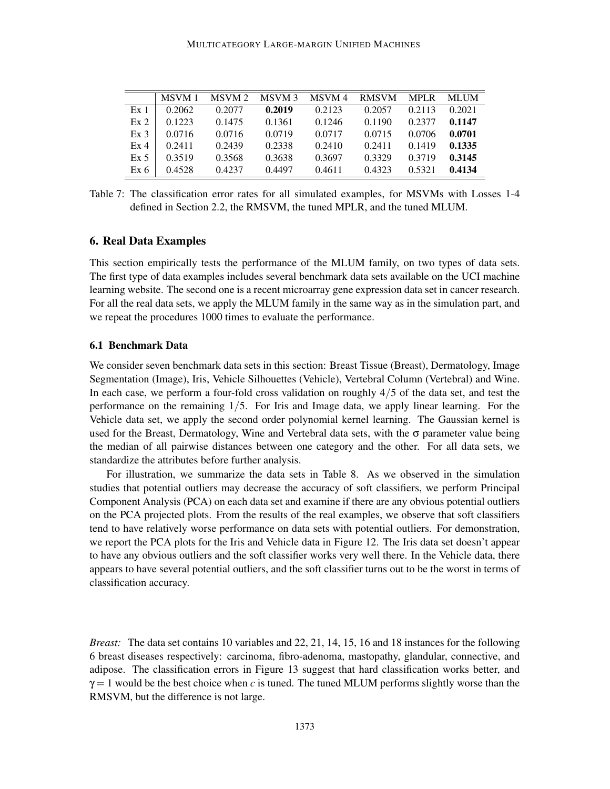|                 | MSVM 1 | MSVM 2 | MSVM 3 | MSVM 4 | <b>RMSVM</b> | MPLR MLUM |        |
|-----------------|--------|--------|--------|--------|--------------|-----------|--------|
| Ex <sub>1</sub> | 0.2062 | 0.2077 | 0.2019 | 0.2123 | 0.2057       | 0.2113    | 0.2021 |
| Ex2             | 0.1223 | 0.1475 | 0.1361 | 0.1246 | 0.1190       | 0.2377    | 0.1147 |
| Ex <sub>3</sub> | 0.0716 | 0.0716 | 0.0719 | 0.0717 | 0.0715       | 0.0706    | 0.0701 |
| Ex <sub>4</sub> | 0.2411 | 0.2439 | 0.2338 | 0.2410 | 0.2411       | 0.1419    | 0.1335 |
| Ex 5            | 0.3519 | 0.3568 | 0.3638 | 0.3697 | 0.3329       | 0.3719    | 0.3145 |
| Ex 6            | 0.4528 | 0.4237 | 0.4497 | 0.4611 | 0.4323       | 0.5321    | 0.4134 |

Table 7: The classification error rates for all simulated examples, for MSVMs with Losses 1-4 defined in Section 2.2, the RMSVM, the tuned MPLR, and the tuned MLUM.

# 6. Real Data Examples

This section empirically tests the performance of the MLUM family, on two types of data sets. The first type of data examples includes several benchmark data sets available on the UCI machine learning website. The second one is a recent microarray gene expression data set in cancer research. For all the real data sets, we apply the MLUM family in the same way as in the simulation part, and we repeat the procedures 1000 times to evaluate the performance.

## 6.1 Benchmark Data

We consider seven benchmark data sets in this section: Breast Tissue (Breast), Dermatology, Image Segmentation (Image), Iris, Vehicle Silhouettes (Vehicle), Vertebral Column (Vertebral) and Wine. In each case, we perform a four-fold cross validation on roughly 4/5 of the data set, and test the performance on the remaining 1/5. For Iris and Image data, we apply linear learning. For the Vehicle data set, we apply the second order polynomial kernel learning. The Gaussian kernel is used for the Breast, Dermatology, Wine and Vertebral data sets, with the  $\sigma$  parameter value being the median of all pairwise distances between one category and the other. For all data sets, we standardize the attributes before further analysis.

For illustration, we summarize the data sets in Table 8. As we observed in the simulation studies that potential outliers may decrease the accuracy of soft classifiers, we perform Principal Component Analysis (PCA) on each data set and examine if there are any obvious potential outliers on the PCA projected plots. From the results of the real examples, we observe that soft classifiers tend to have relatively worse performance on data sets with potential outliers. For demonstration, we report the PCA plots for the Iris and Vehicle data in Figure 12. The Iris data set doesn't appear to have any obvious outliers and the soft classifier works very well there. In the Vehicle data, there appears to have several potential outliers, and the soft classifier turns out to be the worst in terms of classification accuracy.

*Breast:* The data set contains 10 variables and 22, 21, 14, 15, 16 and 18 instances for the following 6 breast diseases respectively: carcinoma, fibro-adenoma, mastopathy, glandular, connective, and adipose. The classification errors in Figure 13 suggest that hard classification works better, and  $\gamma = 1$  would be the best choice when *c* is tuned. The tuned MLUM performs slightly worse than the RMSVM, but the difference is not large.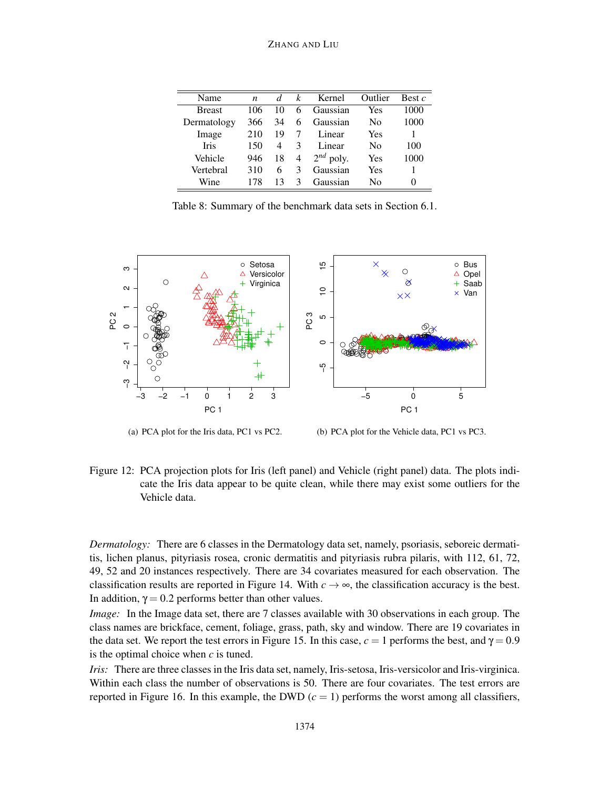| Name          | n   | d. | k              | Kernel         | Outlier        | Best $c$ |
|---------------|-----|----|----------------|----------------|----------------|----------|
| <b>Breast</b> | 106 | 10 | 6              | Gaussian       | Yes            | 1000     |
| Dermatology   | 366 | 34 | 6              | Gaussian       | No             | 1000     |
| Image         | 210 | 19 |                | Linear         | Yes            |          |
| <b>Iris</b>   | 150 | 4  | 3              | Linear         | N <sub>0</sub> | 100      |
| Vehicle       | 946 | 18 | $\overline{4}$ | $2^{nd}$ poly. | Yes            | 1000     |
| Vertebral     | 310 | 6  | 3              | Gaussian       | Yes            |          |
| Wine          | 178 | 13 | 3              | Gaussian       | N <sub>0</sub> | $\Omega$ |

Table 8: Summary of the benchmark data sets in Section 6.1.



(a) PCA plot for the Iris data, PC1 vs PC2.

(b) PCA plot for the Vehicle data, PC1 vs PC3.

Figure 12: PCA projection plots for Iris (left panel) and Vehicle (right panel) data. The plots indicate the Iris data appear to be quite clean, while there may exist some outliers for the Vehicle data.

*Dermatology:* There are 6 classes in the Dermatology data set, namely, psoriasis, seboreic dermatitis, lichen planus, pityriasis rosea, cronic dermatitis and pityriasis rubra pilaris, with 112, 61, 72, 49, 52 and 20 instances respectively. There are 34 covariates measured for each observation. The classification results are reported in Figure 14. With  $c \rightarrow \infty$ , the classification accuracy is the best. In addition,  $\gamma = 0.2$  performs better than other values.

*Image:* In the Image data set, there are 7 classes available with 30 observations in each group. The class names are brickface, cement, foliage, grass, path, sky and window. There are 19 covariates in the data set. We report the test errors in Figure 15. In this case,  $c = 1$  performs the best, and  $\gamma = 0.9$ is the optimal choice when *c* is tuned.

*Iris:* There are three classes in the Iris data set, namely, Iris-setosa, Iris-versicolor and Iris-virginica. Within each class the number of observations is 50. There are four covariates. The test errors are reported in Figure 16. In this example, the DWD  $(c = 1)$  performs the worst among all classifiers,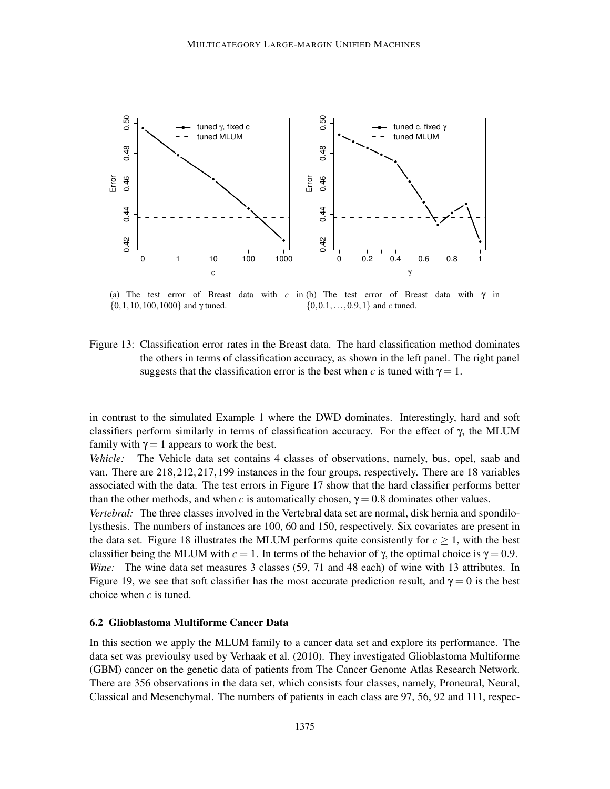

(a) The test error of Breast data with *c* in (b) The test error of Breast data with  $\gamma$  in  $\{0, 1, 10, 100, 1000\}$  and  $\gamma$  tuned. {0,0.1,...,0.9,1} and *c* tuned.

Figure 13: Classification error rates in the Breast data. The hard classification method dominates the others in terms of classification accuracy, as shown in the left panel. The right panel suggests that the classification error is the best when *c* is tuned with  $\gamma = 1$ .

in contrast to the simulated Example 1 where the DWD dominates. Interestingly, hard and soft classifiers perform similarly in terms of classification accuracy. For the effect of γ, the MLUM family with  $\gamma = 1$  appears to work the best.

*Vehicle:* The Vehicle data set contains 4 classes of observations, namely, bus, opel, saab and van. There are 218,212,217,199 instances in the four groups, respectively. There are 18 variables associated with the data. The test errors in Figure 17 show that the hard classifier performs better than the other methods, and when *c* is automatically chosen,  $\gamma = 0.8$  dominates other values.

*Vertebral:* The three classes involved in the Vertebral data set are normal, disk hernia and spondilolysthesis. The numbers of instances are 100, 60 and 150, respectively. Six covariates are present in the data set. Figure 18 illustrates the MLUM performs quite consistently for  $c \geq 1$ , with the best classifier being the MLUM with  $c = 1$ . In terms of the behavior of  $\gamma$ , the optimal choice is  $\gamma = 0.9$ . *Wine:* The wine data set measures 3 classes (59, 71 and 48 each) of wine with 13 attributes. In Figure 19, we see that soft classifier has the most accurate prediction result, and  $\gamma = 0$  is the best choice when *c* is tuned.

### 6.2 Glioblastoma Multiforme Cancer Data

In this section we apply the MLUM family to a cancer data set and explore its performance. The data set was previoulsy used by Verhaak et al. (2010). They investigated Glioblastoma Multiforme (GBM) cancer on the genetic data of patients from The Cancer Genome Atlas Research Network. There are 356 observations in the data set, which consists four classes, namely, Proneural, Neural, Classical and Mesenchymal. The numbers of patients in each class are 97, 56, 92 and 111, respec-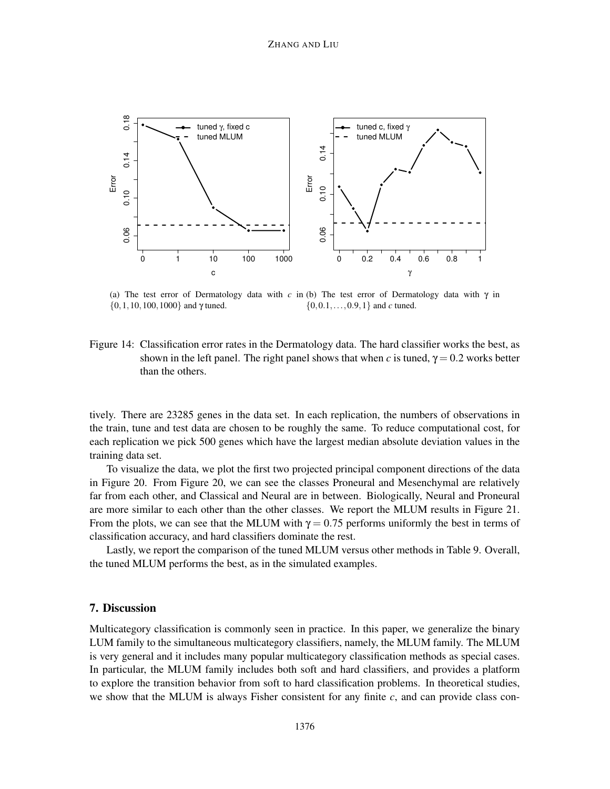

(a) The test error of Dermatology data with  $c$  in (b) The test error of Dermatology data with  $\gamma$  in  $\{0, 1, 10, 100, 1000\}$  and  $\gamma$  tuned. {0,0.1,...,0.9,1} and *c* tuned.

Figure 14: Classification error rates in the Dermatology data. The hard classifier works the best, as shown in the left panel. The right panel shows that when *c* is tuned,  $\gamma = 0.2$  works better than the others.

tively. There are 23285 genes in the data set. In each replication, the numbers of observations in the train, tune and test data are chosen to be roughly the same. To reduce computational cost, for each replication we pick 500 genes which have the largest median absolute deviation values in the training data set.

To visualize the data, we plot the first two projected principal component directions of the data in Figure 20. From Figure 20, we can see the classes Proneural and Mesenchymal are relatively far from each other, and Classical and Neural are in between. Biologically, Neural and Proneural are more similar to each other than the other classes. We report the MLUM results in Figure 21. From the plots, we can see that the MLUM with  $\gamma = 0.75$  performs uniformly the best in terms of classification accuracy, and hard classifiers dominate the rest.

Lastly, we report the comparison of the tuned MLUM versus other methods in Table 9. Overall, the tuned MLUM performs the best, as in the simulated examples.

# 7. Discussion

Multicategory classification is commonly seen in practice. In this paper, we generalize the binary LUM family to the simultaneous multicategory classifiers, namely, the MLUM family. The MLUM is very general and it includes many popular multicategory classification methods as special cases. In particular, the MLUM family includes both soft and hard classifiers, and provides a platform to explore the transition behavior from soft to hard classification problems. In theoretical studies, we show that the MLUM is always Fisher consistent for any finite *c*, and can provide class con-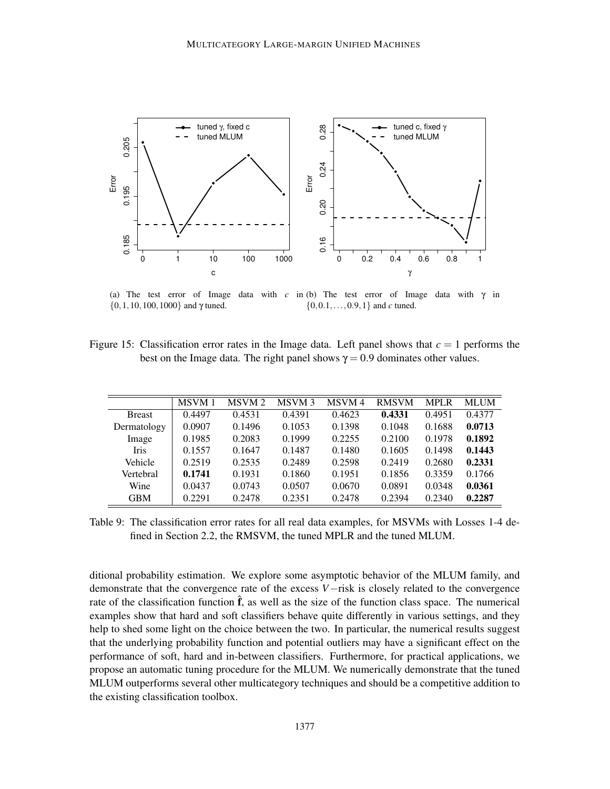

(a) The test error of Image data with  $c$  in (b) The test error of Image data with  $\gamma$  in  $\{0, 1, 10, 100, 1000\}$  and  $\gamma$  tuned. {0,0.1,...,0.9,1} and *c* tuned.

Figure 15: Classification error rates in the Image data. Left panel shows that  $c = 1$  performs the best on the Image data. The right panel shows  $\gamma = 0.9$  dominates other values.

|               | <b>MSVM1</b> | MSVM <sub>2</sub> | MSVM <sub>3</sub> | MSVM 4 | <b>RMSVM</b> | <b>MPLR</b> | <b>MLUM</b> |
|---------------|--------------|-------------------|-------------------|--------|--------------|-------------|-------------|
| <b>Breast</b> | 0.4497       | 0.4531            | 0.4391            | 0.4623 | 0.4331       | 0.4951      | 0.4377      |
| Dermatology   | 0.0907       | 0.1496            | 0.1053            | 0.1398 | 0.1048       | 0.1688      | 0.0713      |
| Image         | 0.1985       | 0.2083            | 0.1999            | 0.2255 | 0.2100       | 0.1978      | 0.1892      |
| <b>Iris</b>   | 0.1557       | 0.1647            | 0.1487            | 0.1480 | 0.1605       | 0.1498      | 0.1443      |
| Vehicle       | 0.2519       | 0.2535            | 0.2489            | 0.2598 | 0.2419       | 0.2680      | 0.2331      |
| Vertebral     | 0.1741       | 0.1931            | 0.1860            | 0.1951 | 0.1856       | 0.3359      | 0.1766      |
| Wine          | 0.0437       | 0.0743            | 0.0507            | 0.0670 | 0.0891       | 0.0348      | 0.0361      |
| <b>GBM</b>    | 0.2291       | 0.2478            | 0.2351            | 0.2478 | 0.2394       | 0.2340      | 0.2287      |

Table 9: The classification error rates for all real data examples, for MSVMs with Losses 1-4 defined in Section 2.2, the RMSVM, the tuned MPLR and the tuned MLUM.

ditional probability estimation. We explore some asymptotic behavior of the MLUM family, and demonstrate that the convergence rate of the excess *V*−risk is closely related to the convergence rate of the classification function  $\hat{f}$ , as well as the size of the function class space. The numerical examples show that hard and soft classifiers behave quite differently in various settings, and they help to shed some light on the choice between the two. In particular, the numerical results suggest that the underlying probability function and potential outliers may have a significant effect on the performance of soft, hard and in-between classifiers. Furthermore, for practical applications, we propose an automatic tuning procedure for the MLUM. We numerically demonstrate that the tuned MLUM outperforms several other multicategory techniques and should be a competitive addition to the existing classification toolbox.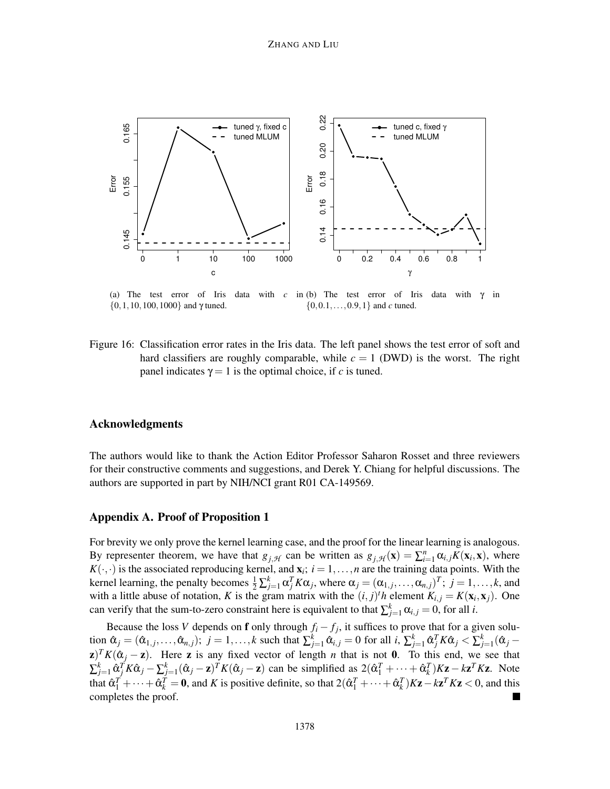

(a) The test error of Iris data with  $c$  $\{0, 1, 10, 100, 1000\}$  and  $\gamma$  tuned. in (b) The test error of Iris data with  $\gamma$  in {0,0.1,...,0.9,1} and *c* tuned.

Figure 16: Classification error rates in the Iris data. The left panel shows the test error of soft and hard classifiers are roughly comparable, while  $c = 1$  (DWD) is the worst. The right panel indicates  $\gamma = 1$  is the optimal choice, if *c* is tuned.

# Acknowledgments

The authors would like to thank the Action Editor Professor Saharon Rosset and three reviewers for their constructive comments and suggestions, and Derek Y. Chiang for helpful discussions. The authors are supported in part by NIH/NCI grant R01 CA-149569.

## Appendix A. Proof of Proposition 1

For brevity we only prove the kernel learning case, and the proof for the linear learning is analogous. By representer theorem, we have that  $g_{j,\mathcal{H}}$  can be written as  $g_{j,\mathcal{H}}(\mathbf{x}) = \sum_{i=1}^{n} \alpha_{i,j} K(\mathbf{x}_i, \mathbf{x})$ , where  $K(\cdot, \cdot)$  is the associated reproducing kernel, and  $\mathbf{x}_i$ ;  $i = 1, \dots, n$  are the training data points. With the kernel learning, the penalty becomes  $\frac{1}{2} \sum_{j=1}^{k} \alpha_j^T K \alpha_j$ , where  $\alpha_j = (\alpha_{1,j}, \dots, \alpha_{n,j})^T$ ;  $j = 1, \dots, k$ , and with a little abuse of notation, *K* is the gram matrix with the  $(i, j)^t h$  element  $K_{i,j} = K(\mathbf{x}_i, \mathbf{x}_j)$ . One can verify that the sum-to-zero constraint here is equivalent to that  $\sum_{j=1}^{k} \alpha_{i,j} = 0$ , for all *i*.

Because the loss *V* depends on **f** only through  $f_i - f_j$ , it suffices to prove that for a given solution  $\hat{\alpha}_j = (\hat{\alpha}_{1,j}, \dots, \hat{\alpha}_{n,j}); j = 1, \dots, k$  such that  $\sum_{j=1}^k \hat{\alpha}_{i,j} = 0$  for all  $i, \sum_{j=1}^k \hat{\alpha}_j^T K \hat{\alpha}_j < \sum_{j=1}^k (\hat{\alpha}_j - \hat{\alpha}_j^T K \hat{\alpha}_j)$  $\mathbf{z}$ )<sup>*T*</sup>*K*( $\hat{\alpha}_j - \mathbf{z}$ ). Here **z** is any fixed vector of length *n* that is not 0. To this end, we see that  $\sum_{j=1}^k \hat{\alpha}_j^T K \hat{\alpha}_j - \sum_{j=1}^k (\hat{\alpha}_j - \mathbf{z})^T K (\hat{\alpha}_j - \mathbf{z})$  can be simplified as  $2(\hat{\alpha}_1^T + \dots + \hat{\alpha}_k^T) K \mathbf{z} - k \mathbf{z}^T K \mathbf{z}$ . Note that  $\hat{\alpha}_1^T + \cdots + \hat{\alpha}_k^T = 0$ , and *K* is positive definite, so that  $2(\hat{\alpha}_1^T + \cdots + \hat{\alpha}_k^T)K\mathbf{z} - k\mathbf{z}^T K\mathbf{z} < 0$ , and this completes the proof.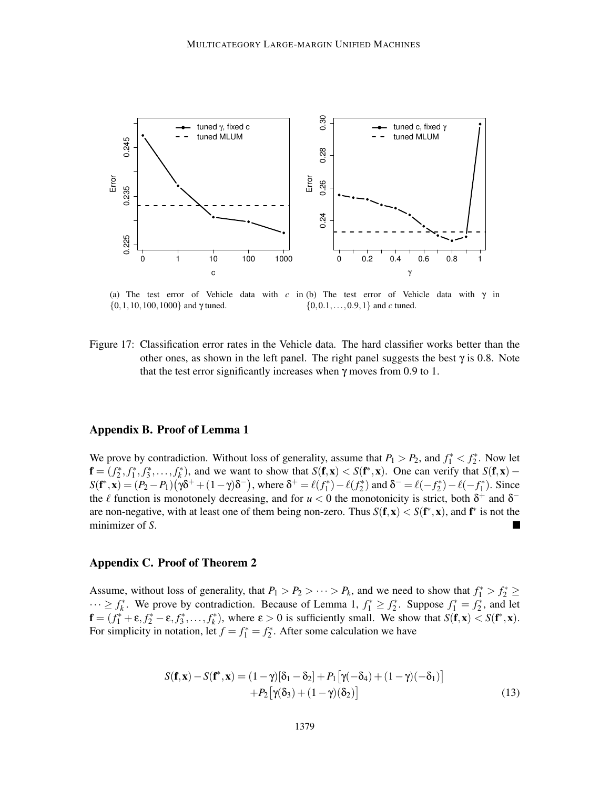

(a) The test error of Vehicle data with  $c$  in (b) The test error of Vehicle data with  $\gamma$  in  $\{0, 1, 10, 100, 1000\}$  and  $\gamma$  tuned. {0,0.1,...,0.9,1} and *c* tuned.

Figure 17: Classification error rates in the Vehicle data. The hard classifier works better than the other ones, as shown in the left panel. The right panel suggests the best  $\gamma$  is 0.8. Note that the test error significantly increases when  $\gamma$  moves from 0.9 to 1.

# Appendix B. Proof of Lemma 1

We prove by contradiction. Without loss of generality, assume that  $P_1 > P_2$ , and  $f_1^* < f_2^*$ . Now let  $f = (f_2^*, f_1^*, f_3^*, \dots, f_k^*)$ , and we want to show that  $S(f, x) < S(f^*, x)$ . One can verify that  $S(f, x)$  –  $S(f^*, \mathbf{x}) = (P_2 - P_1)(\gamma \delta^+ + (1 - \gamma)\delta^-)$ , where  $\delta^+ = \ell(f_1^*) - \ell(f_2^*)$  and  $\delta^- = \ell(-f_2^*) - \ell(-f_1^*)$ . Since the  $\ell$  function is monotonely decreasing, and for  $u < 0$  the monotonicity is strict, both  $\delta^+$  and  $\delta^$ are non-negative, with at least one of them being non-zero. Thus  $S(f, x) < S(f^*, x)$ , and  $f^*$  is not the minimizer of *S*.

#### Appendix C. Proof of Theorem 2

Assume, without loss of generality, that  $P_1 > P_2 > \cdots > P_k$ , and we need to show that  $f_1^* > f_2^* \ge$  $\cdots \ge f_k^*$ . We prove by contradiction. Because of Lemma 1,  $f_1^* \ge f_2^*$ . Suppose  $f_1^* = f_2^*$ , and let  $\mathbf{f} = (f_1^* + \varepsilon, f_2^* - \varepsilon, f_3^*, \dots, f_k^*)$ , where  $\varepsilon > 0$  is sufficiently small. We show that  $S(\mathbf{f}, \mathbf{x}) < S(\mathbf{f}^*, \mathbf{x})$ . For simplicity in notation, let  $f = f_1^* = f_2^*$ . After some calculation we have

$$
S(\mathbf{f}, \mathbf{x}) - S(\mathbf{f}^*, \mathbf{x}) = (1 - \gamma)[\delta_1 - \delta_2] + P_1[\gamma(-\delta_4) + (1 - \gamma)(-\delta_1)]
$$
  
+ 
$$
P_2[\gamma(\delta_3) + (1 - \gamma)(\delta_2)]
$$
 (13)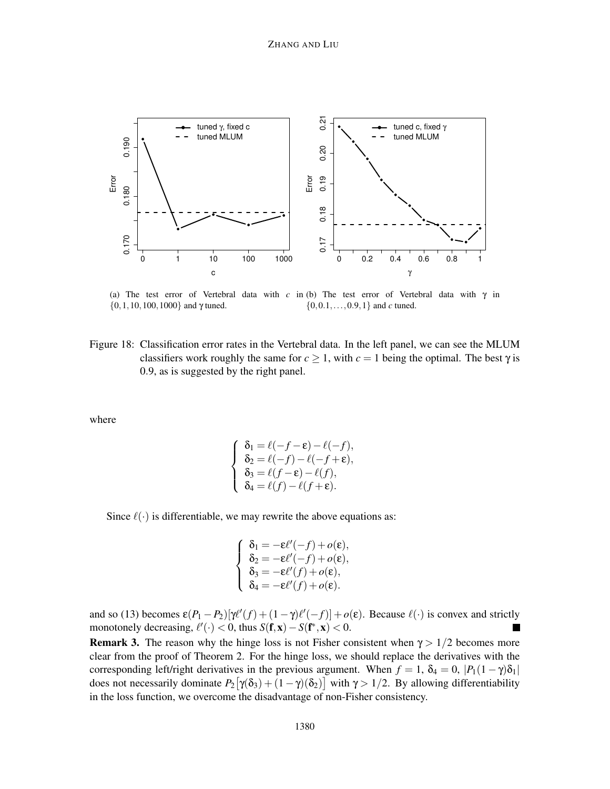

(a) The test error of Vertebral data with *c* in (b) The test error of Vertebral data with  $\gamma$  in  $\{0, 1, 10, 100, 1000\}$  and  $\gamma$  tuned. {0,0.1,...,0.9,1} and *c* tuned.

Figure 18: Classification error rates in the Vertebral data. In the left panel, we can see the MLUM classifiers work roughly the same for  $c \ge 1$ , with  $c = 1$  being the optimal. The best  $\gamma$  is 0.9, as is suggested by the right panel.

where

$$
\begin{cases}\n\delta_1 = \ell(-f - \varepsilon) - \ell(-f), \\
\delta_2 = \ell(-f) - \ell(-f + \varepsilon), \\
\delta_3 = \ell(f - \varepsilon) - \ell(f), \\
\delta_4 = \ell(f) - \ell(f + \varepsilon).\n\end{cases}
$$

Since  $\ell(\cdot)$  is differentiable, we may rewrite the above equations as:

$$
\begin{cases}\n\delta_1 = -\varepsilon \ell'(-f) + o(\varepsilon), \\
\delta_2 = -\varepsilon \ell'(-f) + o(\varepsilon), \\
\delta_3 = -\varepsilon \ell'(f) + o(\varepsilon), \\
\delta_4 = -\varepsilon \ell'(f) + o(\varepsilon).\n\end{cases}
$$

and so (13) becomes  $\epsilon(P_1 - P_2)[\gamma \ell'(f) + (1 - \gamma)\ell'(-f)] + o(\epsilon)$ . Because  $\ell(\cdot)$  is convex and strictly monotonely decreasing,  $\ell'(\cdot) < 0$ , thus  $S(\mathbf{f}, \mathbf{x}) - S(\mathbf{f}^*, \mathbf{x}) < 0$ .

**Remark 3.** The reason why the hinge loss is not Fisher consistent when  $\gamma > 1/2$  becomes more clear from the proof of Theorem 2. For the hinge loss, we should replace the derivatives with the corresponding left/right derivatives in the previous argument. When  $f = 1$ ,  $\delta_4 = 0$ ,  $|P_1(1 - \gamma)\delta_1|$ does not necessarily dominate  $P_2[\gamma(\delta_3) + (1-\gamma)(\delta_2)]$  with  $\gamma > 1/2$ . By allowing differentiability in the loss function, we overcome the disadvantage of non-Fisher consistency.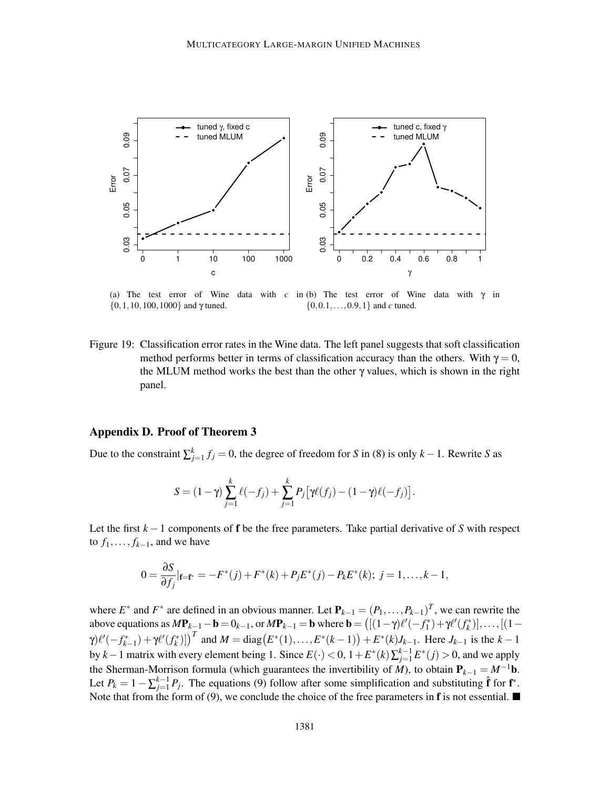

(a) The test error of Wine  $\{0, 1, 10, 100, 1000\}$  and  $\gamma$  tuned. data with c in (b) The test error of Wine data with  $\gamma$  in {0,0.1,...,0.9,1} and *c* tuned.

Figure 19: Classification error rates in the Wine data. The left panel suggests that soft classification method performs better in terms of classification accuracy than the others. With  $\gamma = 0$ , the MLUM method works the best than the other  $\gamma$  values, which is shown in the right panel.

#### Appendix D. Proof of Theorem 3

Due to the constraint  $\sum_{j=1}^{k} f_j = 0$ , the degree of freedom for *S* in (8) is only *k* − 1. Rewrite *S* as

$$
S = (1 - \gamma) \sum_{j=1}^{k} \ell(-f_j) + \sum_{j=1}^{k} P_j [\gamma \ell(f_j) - (1 - \gamma)\ell(-f_j)].
$$

Let the first *k* −1 components of f be the free parameters. Take partial derivative of *S* with respect to  $f_1, \ldots, f_{k-1}$ , and we have

$$
0 = \frac{\partial S}{\partial f_j}|_{\mathbf{f} = \mathbf{f}^*} = -F^*(j) + F^*(k) + P_j E^*(j) - P_k E^*(k); \ j = 1, \dots, k-1,
$$

where  $E^*$  and  $F^*$  are defined in an obvious manner. Let  $P_{k-1} = (P_1, \ldots, P_{k-1})^T$ , we can rewrite the above equations as  $M\mathbf{P}_{k-1} - \mathbf{b} = 0_{k-1}$ , or  $M\mathbf{P}_{k-1} = \mathbf{b}$  where  $\mathbf{b} = ([(1 - \gamma)\ell'(-f_1^*) + \gamma\ell'(f_k^*)], \dots, [(1 - \gamma)\ell'(-f_k^*)]$  $\gamma$ ) $\ell'(-f_{k-1}^*) + \gamma \ell'(f_k^*)$ ])<sup>T</sup> and  $M = \text{diag}(E^*(1),...,E^*(k-1)) + E^*(k)J_{k-1}$ . Here  $J_{k-1}$  is the  $k-1$ by *k* − 1 matrix with every element being 1. Since  $E(\cdot) < 0$ ,  $1 + E^*(k) \sum_{j=1}^{k-1} E^*(j) > 0$ , and we apply the Sherman-Morrison formula (which guarantees the invertibility of  $\dot{M}$ ), to obtain  $P_{k-1} = M^{-1}b$ . Let  $P_k = 1 - \sum_{j=1}^{k-1} P_j$ . The equations (9) follow after some simplification and substituting  $\hat{\mathbf{f}}$  for  $\mathbf{f}^*$ . Note that from the form of (9), we conclude the choice of the free parameters in **f** is not essential.  $\blacksquare$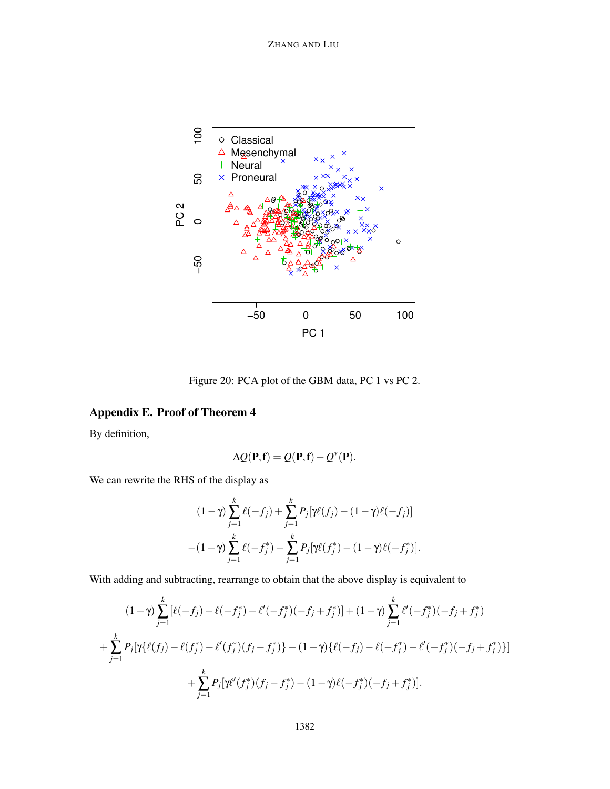

Figure 20: PCA plot of the GBM data, PC 1 vs PC 2.

# Appendix E. Proof of Theorem 4

By definition,

$$
\Delta Q(\mathbf{P}, \mathbf{f}) = Q(\mathbf{P}, \mathbf{f}) - Q^*(\mathbf{P}).
$$

We can rewrite the RHS of the display as

$$
(1 - \gamma) \sum_{j=1}^{k} \ell(-f_j) + \sum_{j=1}^{k} P_j[\gamma \ell(f_j) - (1 - \gamma)\ell(-f_j)]
$$

$$
-(1 - \gamma) \sum_{j=1}^{k} \ell(-f_j^*) - \sum_{j=1}^{k} P_j[\gamma \ell(f_j^*) - (1 - \gamma)\ell(-f_j^*)].
$$

With adding and subtracting, rearrange to obtain that the above display is equivalent to

$$
(1-\gamma)\sum_{j=1}^{k} [\ell(-f_j) - \ell(-f_j^*) - \ell'(-f_j^*)(-f_j + f_j^*)] + (1-\gamma)\sum_{j=1}^{k} \ell'(-f_j^*)(-f_j + f_j^*)
$$
  
+ 
$$
\sum_{j=1}^{k} P_j[\gamma\{\ell(f_j) - \ell(f_j^*) - \ell'(f_j^*)(f_j - f_j^*)\} - (1-\gamma)\{\ell(-f_j) - \ell(-f_j^*) - \ell'(-f_j^*)(-f_j + f_j^*)\}]
$$
  
+ 
$$
\sum_{j=1}^{k} P_j[\gamma\ell'(f_j^*)(f_j - f_j^*) - (1-\gamma)\ell(-f_j^*)(-f_j + f_j^*)].
$$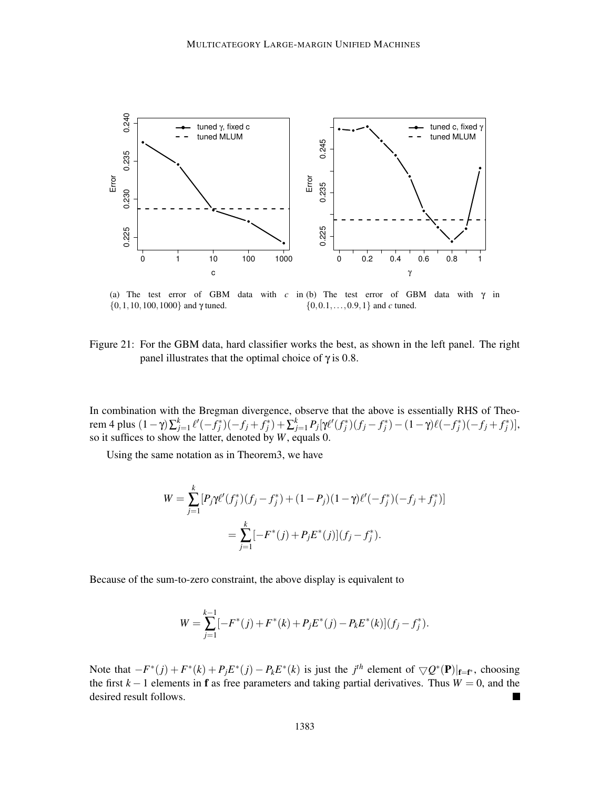

(a) The test error of GBM data with  $c$  in (b) The test error of GBM data with  $\gamma$  in  $\{0, 1, 10, 100, 1000\}$  and  $\gamma$  tuned. {0,0.1,...,0.9,1} and *c* tuned.

Figure 21: For the GBM data, hard classifier works the best, as shown in the left panel. The right panel illustrates that the optimal choice of  $γ$  is 0.8.

In combination with the Bregman divergence, observe that the above is essentially RHS of Theorem 4 plus  $(1 - \gamma) \sum_{j=1}^{k} \ell'(-f_j^*)(-f_j + f_j^*) + \sum_{j=1}^{k} P_j[\gamma \ell'(f_j^*)(f_j - f_j^*) - (1 - \gamma)\ell(-f_j^*)(-f_j + f_j^*)],$ so it suffices to show the latter, denoted by *W*, equals 0.

Using the same notation as in Theorem3, we have

$$
W = \sum_{j=1}^{k} [P_j \gamma \ell'(f_j^*)(f_j - f_j^*) + (1 - P_j)(1 - \gamma)\ell'(-f_j^*)(-f_j + f_j^*)]
$$
  
= 
$$
\sum_{j=1}^{k} [-F^*(j) + P_j E^*(j)](f_j - f_j^*).
$$

Because of the sum-to-zero constraint, the above display is equivalent to

$$
W = \sum_{j=1}^{k-1} [-F^*(j) + F^*(k) + P_j E^*(j) - P_k E^*(k)] (f_j - f_j^*).
$$

Note that  $-F^*(j) + F^*(k) + P_j E^*(j) - P_k E^*(k)$  is just the *j*<sup>th</sup> element of  $\bigtriangledown Q^*(P)|_{f=f^*}$ , choosing the first  $k - 1$  elements in **f** as free parameters and taking partial derivatives. Thus  $W = 0$ , and the desired result follows.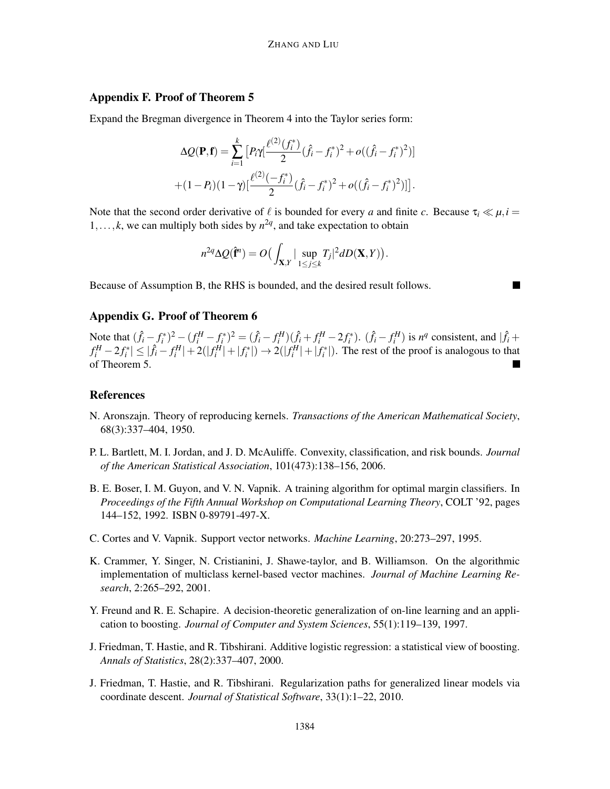# Appendix F. Proof of Theorem 5

Expand the Bregman divergence in Theorem 4 into the Taylor series form:

$$
\Delta Q(\mathbf{P}, \mathbf{f}) = \sum_{i=1}^{k} \left[ P_i \gamma \left( \frac{\ell^{(2)}(f_i^*)}{2} (\hat{f}_i - f_i^*)^2 + o((\hat{f}_i - f_i^*)^2) \right) \right] + (1 - P_i)(1 - \gamma) \left[ \frac{\ell^{(2)}(-f_i^*)}{2} (\hat{f}_i - f_i^*)^2 + o((\hat{f}_i - f_i^*)^2) \right] \right].
$$

Note that the second order derivative of  $\ell$  is bounded for every *a* and finite *c*. Because  $\tau_i \ll \mu$ , *i* = 1,..., *k*, we can multiply both sides by  $n^{2q}$ , and take expectation to obtain

$$
n^{2q}\Delta Q(\hat{\mathbf{f}}^n) = O\big(\int_{\mathbf{X},Y} |\sup_{1 \le j \le k} T_j|^2 dD(\mathbf{X},Y)\big).
$$

Because of Assumption B, the RHS is bounded, and the desired result follows.

# Appendix G. Proof of Theorem 6

Note that  $(\hat{f}_i - f_i^*)^2 - (f_i^H - f_i^*)^2 = (\hat{f}_i - f_i^H)(\hat{f}_i + f_i^H - 2f_i^*)$ .  $(\hat{f}_i - f_i^H)$  is  $n^q$  consistent, and  $|\hat{f}_i + f_i^H - f_i^H|$  $|f_i^H - 2f_i^*| \le |\hat{f}_i - f_i^H| + 2(|f_i^H| + |f_i^*|) \to 2(|f_i^H| + |f_i^*|)$ . The rest of the proof is analogous to that of Theorem 5.

# References

- N. Aronszajn. Theory of reproducing kernels. *Transactions of the American Mathematical Society*, 68(3):337–404, 1950.
- P. L. Bartlett, M. I. Jordan, and J. D. McAuliffe. Convexity, classification, and risk bounds. *Journal of the American Statistical Association*, 101(473):138–156, 2006.
- B. E. Boser, I. M. Guyon, and V. N. Vapnik. A training algorithm for optimal margin classifiers. In *Proceedings of the Fifth Annual Workshop on Computational Learning Theory*, COLT '92, pages 144–152, 1992. ISBN 0-89791-497-X.
- C. Cortes and V. Vapnik. Support vector networks. *Machine Learning*, 20:273–297, 1995.
- K. Crammer, Y. Singer, N. Cristianini, J. Shawe-taylor, and B. Williamson. On the algorithmic implementation of multiclass kernel-based vector machines. *Journal of Machine Learning Research*, 2:265–292, 2001.
- Y. Freund and R. E. Schapire. A decision-theoretic generalization of on-line learning and an application to boosting. *Journal of Computer and System Sciences*, 55(1):119–139, 1997.
- J. Friedman, T. Hastie, and R. Tibshirani. Additive logistic regression: a statistical view of boosting. *Annals of Statistics*, 28(2):337–407, 2000.
- J. Friedman, T. Hastie, and R. Tibshirani. Regularization paths for generalized linear models via coordinate descent. *Journal of Statistical Software*, 33(1):1–22, 2010.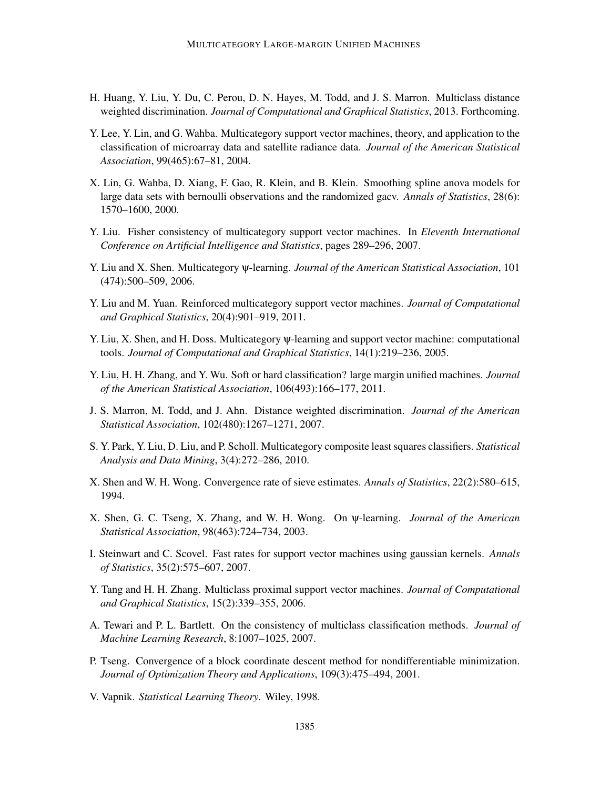- H. Huang, Y. Liu, Y. Du, C. Perou, D. N. Hayes, M. Todd, and J. S. Marron. Multiclass distance weighted discrimination. *Journal of Computational and Graphical Statistics*, 2013. Forthcoming.
- Y. Lee, Y. Lin, and G. Wahba. Multicategory support vector machines, theory, and application to the classification of microarray data and satellite radiance data. *Journal of the American Statistical Association*, 99(465):67–81, 2004.
- X. Lin, G. Wahba, D. Xiang, F. Gao, R. Klein, and B. Klein. Smoothing spline anova models for large data sets with bernoulli observations and the randomized gacv. *Annals of Statistics*, 28(6): 1570–1600, 2000.
- Y. Liu. Fisher consistency of multicategory support vector machines. In *Eleventh International Conference on Artificial Intelligence and Statistics*, pages 289–296, 2007.
- Y. Liu and X. Shen. Multicategory ψ-learning. *Journal of the American Statistical Association*, 101 (474):500–509, 2006.
- Y. Liu and M. Yuan. Reinforced multicategory support vector machines. *Journal of Computational and Graphical Statistics*, 20(4):901–919, 2011.
- Y. Liu, X. Shen, and H. Doss. Multicategory ψ-learning and support vector machine: computational tools. *Journal of Computational and Graphical Statistics*, 14(1):219–236, 2005.
- Y. Liu, H. H. Zhang, and Y. Wu. Soft or hard classification? large margin unified machines. *Journal of the American Statistical Association*, 106(493):166–177, 2011.
- J. S. Marron, M. Todd, and J. Ahn. Distance weighted discrimination. *Journal of the American Statistical Association*, 102(480):1267–1271, 2007.
- S. Y. Park, Y. Liu, D. Liu, and P. Scholl. Multicategory composite least squares classifiers. *Statistical Analysis and Data Mining*, 3(4):272–286, 2010.
- X. Shen and W. H. Wong. Convergence rate of sieve estimates. *Annals of Statistics*, 22(2):580–615, 1994.
- X. Shen, G. C. Tseng, X. Zhang, and W. H. Wong. On ψ-learning. *Journal of the American Statistical Association*, 98(463):724–734, 2003.
- I. Steinwart and C. Scovel. Fast rates for support vector machines using gaussian kernels. *Annals of Statistics*, 35(2):575–607, 2007.
- Y. Tang and H. H. Zhang. Multiclass proximal support vector machines. *Journal of Computational and Graphical Statistics*, 15(2):339–355, 2006.
- A. Tewari and P. L. Bartlett. On the consistency of multiclass classification methods. *Journal of Machine Learning Research*, 8:1007–1025, 2007.
- P. Tseng. Convergence of a block coordinate descent method for nondifferentiable minimization. *Journal of Optimization Theory and Applications*, 109(3):475–494, 2001.
- V. Vapnik. *Statistical Learning Theory*. Wiley, 1998.